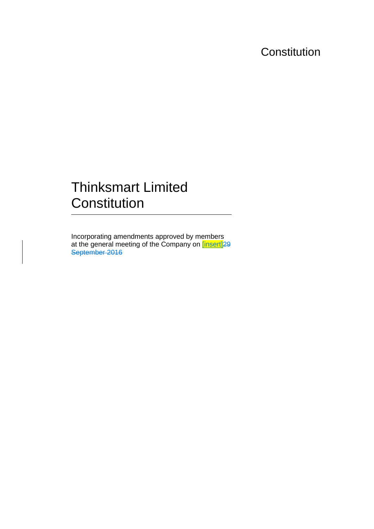## **Constitution**

# Thinksmart Limited **Constitution**

Incorporating amendments approved by members at the general meeting of the Company on **[insert]**29 September 2016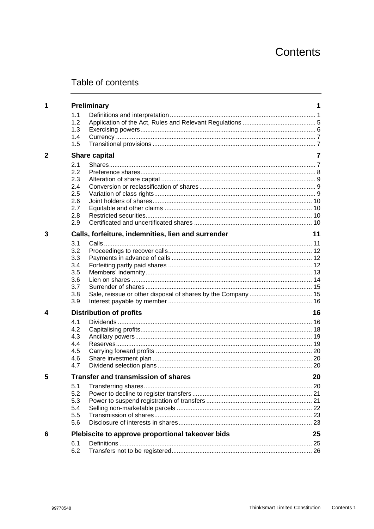## Contents

## Table of contents

| 1.1<br>1.2<br>1.3<br>1.4<br>1.5<br>$\overline{2}$<br><b>Share capital</b><br>2.1<br>2.2<br>2.3<br>2.4<br>2.5<br>2.6<br>2.7<br>2.8<br>2.9<br>Calls, forfeiture, indemnities, lien and surrender<br>3<br>3.1<br>3.2<br>3.3<br>3.4<br>3.5 |    |
|----------------------------------------------------------------------------------------------------------------------------------------------------------------------------------------------------------------------------------------|----|
|                                                                                                                                                                                                                                        |    |
|                                                                                                                                                                                                                                        |    |
|                                                                                                                                                                                                                                        |    |
|                                                                                                                                                                                                                                        |    |
|                                                                                                                                                                                                                                        |    |
|                                                                                                                                                                                                                                        |    |
|                                                                                                                                                                                                                                        |    |
|                                                                                                                                                                                                                                        |    |
|                                                                                                                                                                                                                                        |    |
|                                                                                                                                                                                                                                        |    |
|                                                                                                                                                                                                                                        |    |
|                                                                                                                                                                                                                                        |    |
|                                                                                                                                                                                                                                        |    |
|                                                                                                                                                                                                                                        |    |
|                                                                                                                                                                                                                                        |    |
|                                                                                                                                                                                                                                        | 11 |
|                                                                                                                                                                                                                                        |    |
|                                                                                                                                                                                                                                        |    |
|                                                                                                                                                                                                                                        |    |
|                                                                                                                                                                                                                                        |    |
|                                                                                                                                                                                                                                        |    |
| 3.6<br>3.7                                                                                                                                                                                                                             |    |
| 3.8                                                                                                                                                                                                                                    |    |
| 3.9                                                                                                                                                                                                                                    |    |
| <b>Distribution of profits</b><br>4                                                                                                                                                                                                    | 16 |
| 4.1                                                                                                                                                                                                                                    |    |
| 4.2                                                                                                                                                                                                                                    |    |
| 4.3                                                                                                                                                                                                                                    |    |
| 4.4                                                                                                                                                                                                                                    |    |
| 4.5                                                                                                                                                                                                                                    |    |
| 4.6                                                                                                                                                                                                                                    |    |
| 4.7                                                                                                                                                                                                                                    |    |
| <b>Transfer and transmission of shares</b><br>5                                                                                                                                                                                        | 20 |
| 5.1                                                                                                                                                                                                                                    |    |
| 5.2                                                                                                                                                                                                                                    |    |
| 5.3                                                                                                                                                                                                                                    |    |
| 5.4                                                                                                                                                                                                                                    |    |
| 5.5                                                                                                                                                                                                                                    |    |
| 5.6                                                                                                                                                                                                                                    |    |
| Plebiscite to approve proportional takeover bids<br>6                                                                                                                                                                                  | 25 |
| 6.1                                                                                                                                                                                                                                    |    |
| 6.2                                                                                                                                                                                                                                    |    |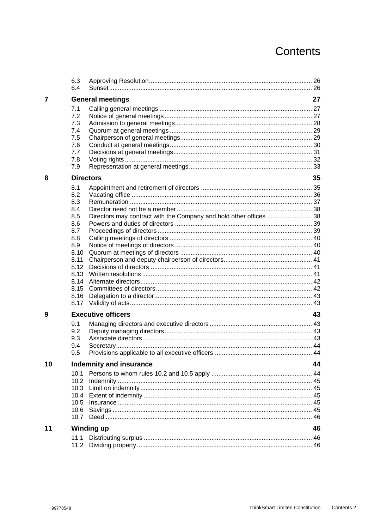## Contents

|    | 6.3<br>6.4 |                                                                    |    |  |
|----|------------|--------------------------------------------------------------------|----|--|
| 7  |            | <b>General meetings</b>                                            | 27 |  |
|    | 7.1        |                                                                    |    |  |
|    | 7.2        |                                                                    |    |  |
|    | 7.3        |                                                                    |    |  |
|    | 7.4        |                                                                    |    |  |
|    | 7.5        |                                                                    |    |  |
|    | 7.6        |                                                                    |    |  |
|    | 7.7        |                                                                    |    |  |
|    | 7.8        |                                                                    |    |  |
|    | 7.9        |                                                                    |    |  |
| 8  |            | <b>Directors</b>                                                   | 35 |  |
|    | 8.1        |                                                                    |    |  |
|    | 8.2        |                                                                    |    |  |
|    | 8.3        |                                                                    |    |  |
|    | 8.4        |                                                                    |    |  |
|    | 8.5        | Directors may contract with the Company and hold other offices  38 |    |  |
|    | 8.6        |                                                                    |    |  |
|    | 8.7        |                                                                    |    |  |
|    | 8.8        |                                                                    |    |  |
|    | 8.9        |                                                                    |    |  |
|    | 8.10       |                                                                    |    |  |
|    | 8.11       |                                                                    |    |  |
|    | 8.12       |                                                                    |    |  |
|    | 8.13       |                                                                    |    |  |
|    | 8.14       |                                                                    |    |  |
|    | 8.15       |                                                                    |    |  |
|    | 8.16       |                                                                    |    |  |
|    | 8.17       |                                                                    |    |  |
| 9  |            | <b>Executive officers</b>                                          |    |  |
|    | 9.1        |                                                                    |    |  |
|    | 9.2        |                                                                    |    |  |
|    | 9.3        |                                                                    |    |  |
|    | 9.4        |                                                                    |    |  |
|    | 9.5        |                                                                    |    |  |
| 10 |            | <b>Indemnity and insurance</b>                                     | 44 |  |
|    | 10.1       |                                                                    |    |  |
|    | 10.2       |                                                                    |    |  |
|    | 10.3       |                                                                    |    |  |
|    | 10.4       |                                                                    |    |  |
|    | 10.5       |                                                                    |    |  |
|    | 10.6       |                                                                    |    |  |
|    | 10.7       |                                                                    |    |  |
| 11 |            | Winding up                                                         |    |  |
|    | 11.1       |                                                                    |    |  |
|    | 11.2       |                                                                    |    |  |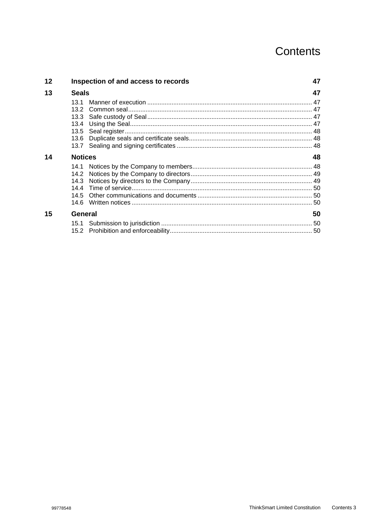## Contents

| 12 | Inspection of and access to records | 47 |
|----|-------------------------------------|----|
| 13 | <b>Seals</b>                        | 47 |
|    | 13.1                                |    |
|    | 13.2                                |    |
|    |                                     |    |
|    | 13.4                                |    |
|    | 13.5                                |    |
|    | 13.6                                |    |
|    |                                     |    |
| 14 | <b>Notices</b>                      | 48 |
|    |                                     |    |
|    | 14.2                                |    |
|    | 14.3                                |    |
|    |                                     |    |
|    | 14.5                                |    |
|    | 14.6                                |    |
| 15 | <b>General</b>                      | 50 |
|    |                                     |    |
|    |                                     |    |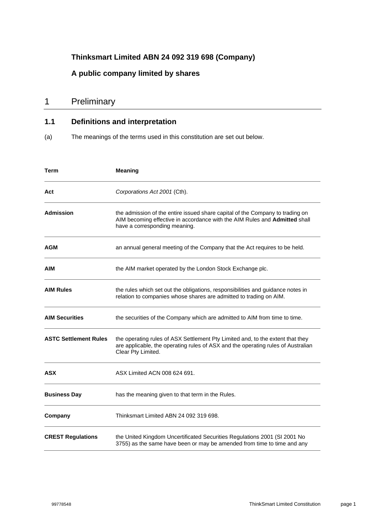### **Thinksmart Limited ABN 24 092 319 698 (Company)**

### **A public company limited by shares**

### 1 Preliminary

### **1.1 Definitions and interpretation**

(a) The meanings of the terms used in this constitution are set out below.

| Term                         | <b>Meaning</b>                                                                                                                                                                               |
|------------------------------|----------------------------------------------------------------------------------------------------------------------------------------------------------------------------------------------|
| Act                          | Corporations Act 2001 (Cth).                                                                                                                                                                 |
| <b>Admission</b>             | the admission of the entire issued share capital of the Company to trading on<br>AIM becoming effective in accordance with the AIM Rules and Admitted shall<br>have a corresponding meaning. |
| <b>AGM</b>                   | an annual general meeting of the Company that the Act requires to be held.                                                                                                                   |
| AIM                          | the AIM market operated by the London Stock Exchange plc.                                                                                                                                    |
| <b>AIM Rules</b>             | the rules which set out the obligations, responsibilities and guidance notes in<br>relation to companies whose shares are admitted to trading on AIM.                                        |
| <b>AIM Securities</b>        | the securities of the Company which are admitted to AIM from time to time.                                                                                                                   |
| <b>ASTC Settlement Rules</b> | the operating rules of ASX Settlement Pty Limited and, to the extent that they<br>are applicable, the operating rules of ASX and the operating rules of Australian<br>Clear Pty Limited.     |
| <b>ASX</b>                   | ASX Limited ACN 008 624 691.                                                                                                                                                                 |
| <b>Business Day</b>          | has the meaning given to that term in the Rules.                                                                                                                                             |
| Company                      | Thinksmart Limited ABN 24 092 319 698.                                                                                                                                                       |
| <b>CREST Regulations</b>     | the United Kingdom Uncertificated Securities Regulations 2001 (SI 2001 No<br>3755) as the same have been or may be amended from time to time and any                                         |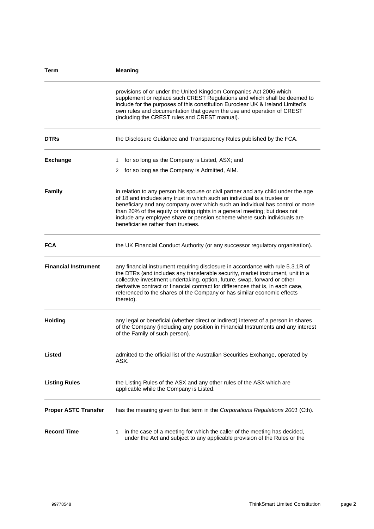| Term                        | <b>Meaning</b>                                                                                                                                                                                                                                                                                                                                                                                                                                 |
|-----------------------------|------------------------------------------------------------------------------------------------------------------------------------------------------------------------------------------------------------------------------------------------------------------------------------------------------------------------------------------------------------------------------------------------------------------------------------------------|
|                             | provisions of or under the United Kingdom Companies Act 2006 which<br>supplement or replace such CREST Regulations and which shall be deemed to<br>include for the purposes of this constitution Euroclear UK & Ireland Limited's<br>own rules and documentation that govern the use and operation of CREST<br>(including the CREST rules and CREST manual).                                                                                   |
| <b>DTRs</b>                 | the Disclosure Guidance and Transparency Rules published by the FCA.                                                                                                                                                                                                                                                                                                                                                                           |
| <b>Exchange</b>             | 1 for so long as the Company is Listed, ASX; and<br>2 for so long as the Company is Admitted, AIM.                                                                                                                                                                                                                                                                                                                                             |
| <b>Family</b>               | in relation to any person his spouse or civil partner and any child under the age<br>of 18 and includes any trust in which such an individual is a trustee or<br>beneficiary and any company over which such an individual has control or more<br>than 20% of the equity or voting rights in a general meeting; but does not<br>include any employee share or pension scheme where such individuals are<br>beneficiaries rather than trustees. |
| <b>FCA</b>                  | the UK Financial Conduct Authority (or any successor regulatory organisation).                                                                                                                                                                                                                                                                                                                                                                 |
| <b>Financial Instrument</b> | any financial instrument requiring disclosure in accordance with rule 5.3.1R of<br>the DTRs (and includes any transferable security, market instrument, unit in a<br>collective investment undertaking, option, future, swap, forward or other<br>derivative contract or financial contract for differences that is, in each case,<br>referenced to the shares of the Company or has similar economic effects<br>thereto).                     |
| <b>Holding</b>              | any legal or beneficial (whether direct or indirect) interest of a person in shares<br>of the Company (including any position in Financial Instruments and any interest<br>of the Family of such person).                                                                                                                                                                                                                                      |
| Listed                      | admitted to the official list of the Australian Securities Exchange, operated by<br>ASX.                                                                                                                                                                                                                                                                                                                                                       |
| <b>Listing Rules</b>        | the Listing Rules of the ASX and any other rules of the ASX which are<br>applicable while the Company is Listed.                                                                                                                                                                                                                                                                                                                               |
| <b>Proper ASTC Transfer</b> | has the meaning given to that term in the Corporations Regulations 2001 (Cth).                                                                                                                                                                                                                                                                                                                                                                 |
| <b>Record Time</b>          | in the case of a meeting for which the caller of the meeting has decided,<br>1<br>under the Act and subject to any applicable provision of the Rules or the                                                                                                                                                                                                                                                                                    |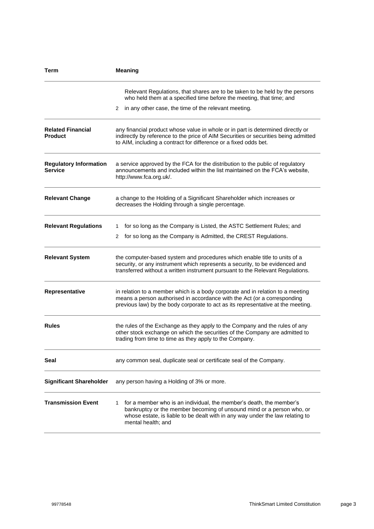| Term                                            | <b>Meaning</b>                                                                                                                                                                                                                                           |
|-------------------------------------------------|----------------------------------------------------------------------------------------------------------------------------------------------------------------------------------------------------------------------------------------------------------|
|                                                 | Relevant Regulations, that shares are to be taken to be held by the persons<br>who held them at a specified time before the meeting, that time; and                                                                                                      |
|                                                 | 2 in any other case, the time of the relevant meeting.                                                                                                                                                                                                   |
| <b>Related Financial</b><br><b>Product</b>      | any financial product whose value in whole or in part is determined directly or<br>indirectly by reference to the price of AIM Securities or securities being admitted<br>to AIM, including a contract for difference or a fixed odds bet.               |
| <b>Regulatory Information</b><br><b>Service</b> | a service approved by the FCA for the distribution to the public of regulatory<br>announcements and included within the list maintained on the FCA's website,<br>http://www.fca.org.uk/.                                                                 |
| <b>Relevant Change</b>                          | a change to the Holding of a Significant Shareholder which increases or<br>decreases the Holding through a single percentage.                                                                                                                            |
| <b>Relevant Regulations</b>                     | for so long as the Company is Listed, the ASTC Settlement Rules; and<br>1.<br>2 for so long as the Company is Admitted, the CREST Regulations.                                                                                                           |
| <b>Relevant System</b>                          | the computer-based system and procedures which enable title to units of a<br>security, or any instrument which represents a security, to be evidenced and<br>transferred without a written instrument pursuant to the Relevant Regulations.              |
| <b>Representative</b>                           | in relation to a member which is a body corporate and in relation to a meeting<br>means a person authorised in accordance with the Act (or a corresponding<br>previous law) by the body corporate to act as its representative at the meeting.           |
| <b>Rules</b>                                    | the rules of the Exchange as they apply to the Company and the rules of any<br>other stock exchange on which the securities of the Company are admitted to<br>trading from time to time as they apply to the Company.                                    |
| Seal                                            | any common seal, duplicate seal or certificate seal of the Company.                                                                                                                                                                                      |
| <b>Significant Shareholder</b>                  | any person having a Holding of 3% or more.                                                                                                                                                                                                               |
| <b>Transmission Event</b>                       | for a member who is an individual, the member's death, the member's<br>1<br>bankruptcy or the member becoming of unsound mind or a person who, or<br>whose estate, is liable to be dealt with in any way under the law relating to<br>mental health; and |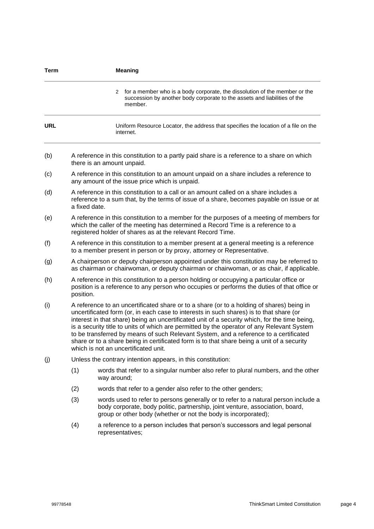| <b>Term</b> |                                                                                                                                                                                                                                                                                                                                                                                                                                                                                                                                                                                                                    | <b>Meaning</b>                                                                                                                                                                                                                        |
|-------------|--------------------------------------------------------------------------------------------------------------------------------------------------------------------------------------------------------------------------------------------------------------------------------------------------------------------------------------------------------------------------------------------------------------------------------------------------------------------------------------------------------------------------------------------------------------------------------------------------------------------|---------------------------------------------------------------------------------------------------------------------------------------------------------------------------------------------------------------------------------------|
|             |                                                                                                                                                                                                                                                                                                                                                                                                                                                                                                                                                                                                                    | for a member who is a body corporate, the dissolution of the member or the<br>2<br>succession by another body corporate to the assets and liabilities of the<br>member.                                                               |
| <b>URL</b>  |                                                                                                                                                                                                                                                                                                                                                                                                                                                                                                                                                                                                                    | Uniform Resource Locator, the address that specifies the location of a file on the<br>internet.                                                                                                                                       |
| (b)         | A reference in this constitution to a partly paid share is a reference to a share on which<br>there is an amount unpaid.                                                                                                                                                                                                                                                                                                                                                                                                                                                                                           |                                                                                                                                                                                                                                       |
| (c)         | A reference in this constitution to an amount unpaid on a share includes a reference to<br>any amount of the issue price which is unpaid.                                                                                                                                                                                                                                                                                                                                                                                                                                                                          |                                                                                                                                                                                                                                       |
| (d)         | A reference in this constitution to a call or an amount called on a share includes a<br>reference to a sum that, by the terms of issue of a share, becomes payable on issue or at<br>a fixed date.                                                                                                                                                                                                                                                                                                                                                                                                                 |                                                                                                                                                                                                                                       |
| (e)         | A reference in this constitution to a member for the purposes of a meeting of members for<br>which the caller of the meeting has determined a Record Time is a reference to a<br>registered holder of shares as at the relevant Record Time.                                                                                                                                                                                                                                                                                                                                                                       |                                                                                                                                                                                                                                       |
| (f)         | A reference in this constitution to a member present at a general meeting is a reference<br>to a member present in person or by proxy, attorney or Representative.                                                                                                                                                                                                                                                                                                                                                                                                                                                 |                                                                                                                                                                                                                                       |
| (g)         |                                                                                                                                                                                                                                                                                                                                                                                                                                                                                                                                                                                                                    | A chairperson or deputy chairperson appointed under this constitution may be referred to<br>as chairman or chairwoman, or deputy chairman or chairwoman, or as chair, if applicable.                                                  |
| (h)         | A reference in this constitution to a person holding or occupying a particular office or<br>position is a reference to any person who occupies or performs the duties of that office or<br>position.                                                                                                                                                                                                                                                                                                                                                                                                               |                                                                                                                                                                                                                                       |
| (i)         | A reference to an uncertificated share or to a share (or to a holding of shares) being in<br>uncertificated form (or, in each case to interests in such shares) is to that share (or<br>interest in that share) being an uncertificated unit of a security which, for the time being,<br>is a security title to units of which are permitted by the operator of any Relevant System<br>to be transferred by means of such Relevant System, and a reference to a certificated<br>share or to a share being in certificated form is to that share being a unit of a security<br>which is not an uncertificated unit. |                                                                                                                                                                                                                                       |
| (j)         |                                                                                                                                                                                                                                                                                                                                                                                                                                                                                                                                                                                                                    | Unless the contrary intention appears, in this constitution:                                                                                                                                                                          |
|             | (1)                                                                                                                                                                                                                                                                                                                                                                                                                                                                                                                                                                                                                | words that refer to a singular number also refer to plural numbers, and the other<br>way around;                                                                                                                                      |
|             | (2)                                                                                                                                                                                                                                                                                                                                                                                                                                                                                                                                                                                                                | words that refer to a gender also refer to the other genders;                                                                                                                                                                         |
|             | (3)                                                                                                                                                                                                                                                                                                                                                                                                                                                                                                                                                                                                                | words used to refer to persons generally or to refer to a natural person include a<br>body corporate, body politic, partnership, joint venture, association, board,<br>group or other body (whether or not the body is incorporated); |
|             | (4)                                                                                                                                                                                                                                                                                                                                                                                                                                                                                                                                                                                                                | a reference to a person includes that person's successors and legal personal<br>representatives;                                                                                                                                      |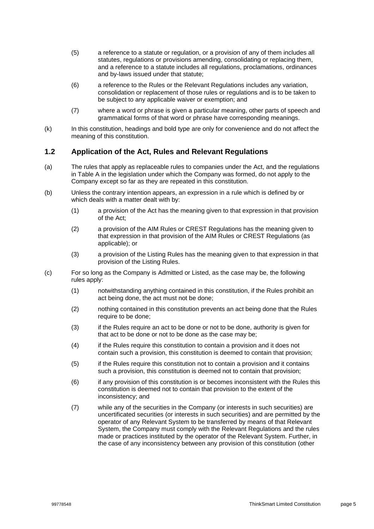- (5) a reference to a statute or regulation, or a provision of any of them includes all statutes, regulations or provisions amending, consolidating or replacing them, and a reference to a statute includes all regulations, proclamations, ordinances and by-laws issued under that statute;
- (6) a reference to the Rules or the Relevant Regulations includes any variation, consolidation or replacement of those rules or regulations and is to be taken to be subject to any applicable waiver or exemption; and
- (7) where a word or phrase is given a particular meaning, other parts of speech and grammatical forms of that word or phrase have corresponding meanings.
- (k) In this constitution, headings and bold type are only for convenience and do not affect the meaning of this constitution.

### **1.2 Application of the Act, Rules and Relevant Regulations**

- (a) The rules that apply as replaceable rules to companies under the Act, and the regulations in Table A in the legislation under which the Company was formed, do not apply to the Company except so far as they are repeated in this constitution.
- (b) Unless the contrary intention appears, an expression in a rule which is defined by or which deals with a matter dealt with by:
	- (1) a provision of the Act has the meaning given to that expression in that provision of the Act;
	- (2) a provision of the AIM Rules or CREST Regulations has the meaning given to that expression in that provision of the AIM Rules or CREST Regulations (as applicable); or
	- (3) a provision of the Listing Rules has the meaning given to that expression in that provision of the Listing Rules.
- <span id="page-8-0"></span>(c) For so long as the Company is Admitted or Listed, as the case may be, the following rules apply:
	- (1) notwithstanding anything contained in this constitution, if the Rules prohibit an act being done, the act must not be done;
	- (2) nothing contained in this constitution prevents an act being done that the Rules require to be done;
	- (3) if the Rules require an act to be done or not to be done, authority is given for that act to be done or not to be done as the case may be;
	- (4) if the Rules require this constitution to contain a provision and it does not contain such a provision, this constitution is deemed to contain that provision;
	- (5) if the Rules require this constitution not to contain a provision and it contains such a provision, this constitution is deemed not to contain that provision;
	- (6) if any provision of this constitution is or becomes inconsistent with the Rules this constitution is deemed not to contain that provision to the extent of the inconsistency; and
	- (7) while any of the securities in the Company (or interests in such securities) are uncertificated securities (or interests in such securities) and are permitted by the operator of any Relevant System to be transferred by means of that Relevant System, the Company must comply with the Relevant Regulations and the rules made or practices instituted by the operator of the Relevant System. Further, in the case of any inconsistency between any provision of this constitution (other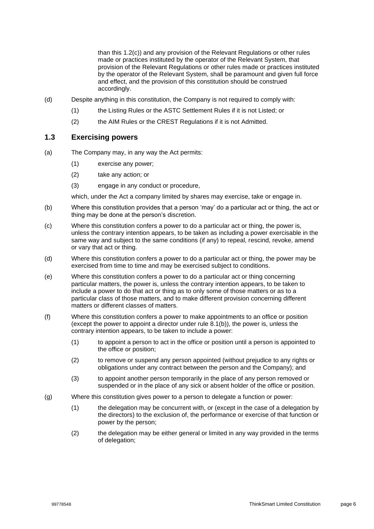than this [1.2\(c\)\)](#page-8-0) and any provision of the Relevant Regulations or other rules made or practices instituted by the operator of the Relevant System, that provision of the Relevant Regulations or other rules made or practices instituted by the operator of the Relevant System, shall be paramount and given full force and effect, and the provision of this constitution should be construed accordingly.

- (d) Despite anything in this constitution, the Company is not required to comply with:
	- (1) the Listing Rules or the ASTC Settlement Rules if it is not Listed; or
	- (2) the AIM Rules or the CREST Regulations if it is not Admitted.

### **1.3 Exercising powers**

- (a) The Company may, in any way the Act permits:
	- (1) exercise any power;
	- (2) take any action; or
	- (3) engage in any conduct or procedure,

which, under the Act a company limited by shares may exercise, take or engage in.

- (b) Where this constitution provides that a person 'may' do a particular act or thing, the act or thing may be done at the person's discretion.
- (c) Where this constitution confers a power to do a particular act or thing, the power is, unless the contrary intention appears, to be taken as including a power exercisable in the same way and subject to the same conditions (if any) to repeal, rescind, revoke, amend or vary that act or thing.
- (d) Where this constitution confers a power to do a particular act or thing, the power may be exercised from time to time and may be exercised subject to conditions.
- (e) Where this constitution confers a power to do a particular act or thing concerning particular matters, the power is, unless the contrary intention appears, to be taken to include a power to do that act or thing as to only some of those matters or as to a particular class of those matters, and to make different provision concerning different matters or different classes of matters.
- (f) Where this constitution confers a power to make appointments to an office or position (except the power to appoint a director under rule [8.1\(b\)\)](#page-38-0), the power is, unless the contrary intention appears, to be taken to include a power:
	- (1) to appoint a person to act in the office or position until a person is appointed to the office or position;
	- (2) to remove or suspend any person appointed (without prejudice to any rights or obligations under any contract between the person and the Company); and
	- (3) to appoint another person temporarily in the place of any person removed or suspended or in the place of any sick or absent holder of the office or position.
- (g) Where this constitution gives power to a person to delegate a function or power:
	- (1) the delegation may be concurrent with, or (except in the case of a delegation by the directors) to the exclusion of, the performance or exercise of that function or power by the person;
	- (2) the delegation may be either general or limited in any way provided in the terms of delegation;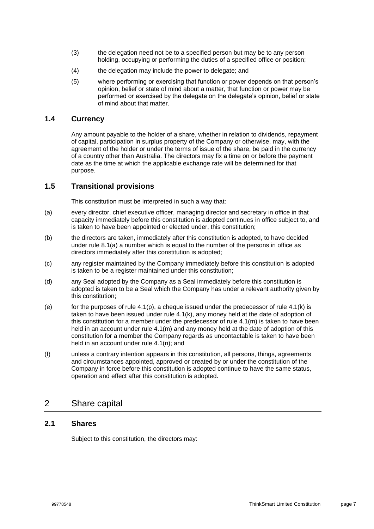- (3) the delegation need not be to a specified person but may be to any person holding, occupying or performing the duties of a specified office or position;
- (4) the delegation may include the power to delegate; and
- (5) where performing or exercising that function or power depends on that person's opinion, belief or state of mind about a matter, that function or power may be performed or exercised by the delegate on the delegate's opinion, belief or state of mind about that matter.

### **1.4 Currency**

Any amount payable to the holder of a share, whether in relation to dividends, repayment of capital, participation in surplus property of the Company or otherwise, may, with the agreement of the holder or under the terms of issue of the share, be paid in the currency of a country other than Australia. The directors may fix a time on or before the payment date as the time at which the applicable exchange rate will be determined for that purpose.

### **1.5 Transitional provisions**

This constitution must be interpreted in such a way that:

- (a) every director, chief executive officer, managing director and secretary in office in that capacity immediately before this constitution is adopted continues in office subject to, and is taken to have been appointed or elected under, this constitution;
- (b) the directors are taken, immediately after this constitution is adopted, to have decided under rule [8.1\(a\)](#page-38-1) a number which is equal to the number of the persons in office as directors immediately after this constitution is adopted;
- (c) any register maintained by the Company immediately before this constitution is adopted is taken to be a register maintained under this constitution;
- (d) any Seal adopted by the Company as a Seal immediately before this constitution is adopted is taken to be a Seal which the Company has under a relevant authority given by this constitution;
- (e) for the purposes of rule  $4.1(p)$ , a cheque issued under the predecessor of rule  $4.1(k)$  is taken to have been issued under rule [4.1\(k\),](#page-20-0) any money held at the date of adoption of this constitution for a member under the predecessor of rule  $4.1(m)$  is taken to have been held in an account under rule [4.1\(m\)](#page-20-1) and any money held at the date of adoption of this constitution for a member the Company regards as uncontactable is taken to have been held in an account under rule [4.1\(n\);](#page-20-2) and
- (f) unless a contrary intention appears in this constitution, all persons, things, agreements and circumstances appointed, approved or created by or under the constitution of the Company in force before this constitution is adopted continue to have the same status, operation and effect after this constitution is adopted.

### 2 Share capital

### **2.1 Shares**

Subject to this constitution, the directors may: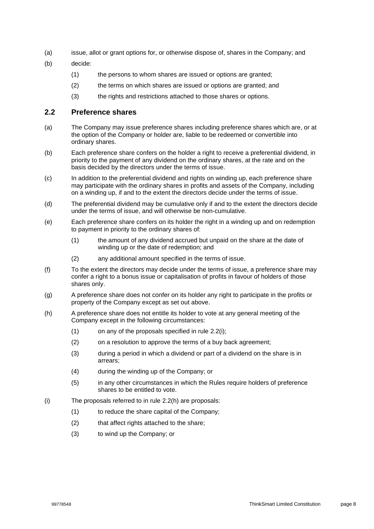- (a) issue, allot or grant options for, or otherwise dispose of, shares in the Company; and
- (b) decide:
	- (1) the persons to whom shares are issued or options are granted;
	- (2) the terms on which shares are issued or options are granted; and
	- (3) the rights and restrictions attached to those shares or options.

### **2.2 Preference shares**

- (a) The Company may issue preference shares including preference shares which are, or at the option of the Company or holder are, liable to be redeemed or convertible into ordinary shares.
- (b) Each preference share confers on the holder a right to receive a preferential dividend, in priority to the payment of any dividend on the ordinary shares, at the rate and on the basis decided by the directors under the terms of issue.
- (c) In addition to the preferential dividend and rights on winding up, each preference share may participate with the ordinary shares in profits and assets of the Company, including on a winding up, if and to the extent the directors decide under the terms of issue.
- (d) The preferential dividend may be cumulative only if and to the extent the directors decide under the terms of issue, and will otherwise be non-cumulative.
- (e) Each preference share confers on its holder the right in a winding up and on redemption to payment in priority to the ordinary shares of:
	- (1) the amount of any dividend accrued but unpaid on the share at the date of winding up or the date of redemption; and
	- (2) any additional amount specified in the terms of issue.
- (f) To the extent the directors may decide under the terms of issue, a preference share may confer a right to a bonus issue or capitalisation of profits in favour of holders of those shares only.
- (g) A preference share does not confer on its holder any right to participate in the profits or property of the Company except as set out above.
- <span id="page-11-1"></span>(h) A preference share does not entitle its holder to vote at any general meeting of the Company except in the following circumstances:
	- $(1)$  on any of the proposals specified in rule [2.2\(i\);](#page-11-0)
	- (2) on a resolution to approve the terms of a buy back agreement;
	- (3) during a period in which a dividend or part of a dividend on the share is in arrears;
	- (4) during the winding up of the Company; or
	- (5) in any other circumstances in which the Rules require holders of preference shares to be entitled to vote.
- <span id="page-11-0"></span>(i) The proposals referred to in rule [2.2\(h\)](#page-11-1) are proposals:
	- (1) to reduce the share capital of the Company;
	- (2) that affect rights attached to the share;
	- (3) to wind up the Company; or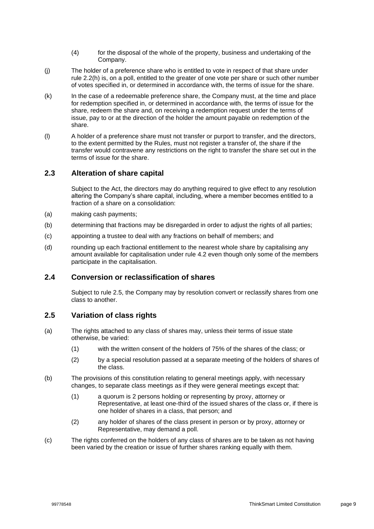- (4) for the disposal of the whole of the property, business and undertaking of the Company.
- (j) The holder of a preference share who is entitled to vote in respect of that share under rule [2.2\(h\)](#page-11-1) is, on a poll, entitled to the greater of one vote per share or such other number of votes specified in, or determined in accordance with, the terms of issue for the share.
- (k) In the case of a redeemable preference share, the Company must, at the time and place for redemption specified in, or determined in accordance with, the terms of issue for the share, redeem the share and, on receiving a redemption request under the terms of issue, pay to or at the direction of the holder the amount payable on redemption of the share.
- (l) A holder of a preference share must not transfer or purport to transfer, and the directors, to the extent permitted by the Rules, must not register a transfer of, the share if the transfer would contravene any restrictions on the right to transfer the share set out in the terms of issue for the share.

### **2.3 Alteration of share capital**

Subject to the Act, the directors may do anything required to give effect to any resolution altering the Company's share capital, including, where a member becomes entitled to a fraction of a share on a consolidation:

- (a) making cash payments;
- (b) determining that fractions may be disregarded in order to adjust the rights of all parties;
- (c) appointing a trustee to deal with any fractions on behalf of members; and
- (d) rounding up each fractional entitlement to the nearest whole share by capitalising any amount available for capitalisation under rule [4.2](#page-21-1) even though only some of the members participate in the capitalisation.

### **2.4 Conversion or reclassification of shares**

Subject to rule [2.5,](#page-12-0) the Company may by resolution convert or reclassify shares from one class to another.

### <span id="page-12-0"></span>**2.5 Variation of class rights**

- (a) The rights attached to any class of shares may, unless their terms of issue state otherwise, be varied:
	- (1) with the written consent of the holders of 75% of the shares of the class; or
	- (2) by a special resolution passed at a separate meeting of the holders of shares of the class.
- (b) The provisions of this constitution relating to general meetings apply, with necessary changes, to separate class meetings as if they were general meetings except that:
	- (1) a quorum is 2 persons holding or representing by proxy, attorney or Representative, at least one-third of the issued shares of the class or, if there is one holder of shares in a class, that person; and
	- (2) any holder of shares of the class present in person or by proxy, attorney or Representative, may demand a poll.
- (c) The rights conferred on the holders of any class of shares are to be taken as not having been varied by the creation or issue of further shares ranking equally with them.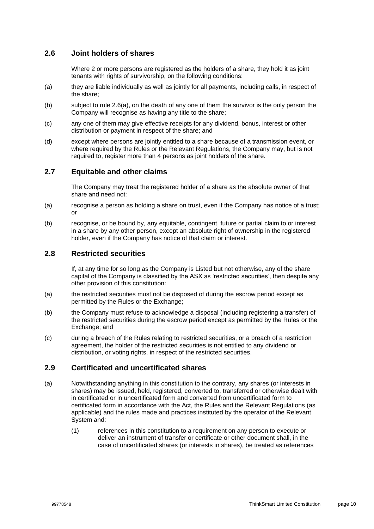### <span id="page-13-1"></span>**2.6 Joint holders of shares**

Where 2 or more persons are registered as the holders of a share, they hold it as joint tenants with rights of survivorship, on the following conditions:

- <span id="page-13-0"></span>(a) they are liable individually as well as jointly for all payments, including calls, in respect of the share;
- (b) subject to rule [2.6\(a\),](#page-13-0) on the death of any one of them the survivor is the only person the Company will recognise as having any title to the share;
- (c) any one of them may give effective receipts for any dividend, bonus, interest or other distribution or payment in respect of the share; and
- (d) except where persons are jointly entitled to a share because of a transmission event, or where required by the Rules or the Relevant Regulations, the Company may, but is not required to, register more than 4 persons as joint holders of the share.

### **2.7 Equitable and other claims**

The Company may treat the registered holder of a share as the absolute owner of that share and need not:

- (a) recognise a person as holding a share on trust, even if the Company has notice of a trust; or
- (b) recognise, or be bound by, any equitable, contingent, future or partial claim to or interest in a share by any other person, except an absolute right of ownership in the registered holder, even if the Company has notice of that claim or interest.

### **2.8 Restricted securities**

If, at any time for so long as the Company is Listed but not otherwise, any of the share capital of the Company is classified by the ASX as 'restricted securities', then despite any other provision of this constitution:

- (a) the restricted securities must not be disposed of during the escrow period except as permitted by the Rules or the Exchange;
- (b) the Company must refuse to acknowledge a disposal (including registering a transfer) of the restricted securities during the escrow period except as permitted by the Rules or the Exchange; and
- (c) during a breach of the Rules relating to restricted securities, or a breach of a restriction agreement, the holder of the restricted securities is not entitled to any dividend or distribution, or voting rights, in respect of the restricted securities.

### **2.9 Certificated and uncertificated shares**

- (a) Notwithstanding anything in this constitution to the contrary, any shares (or interests in shares) may be issued, held, registered, converted to, transferred or otherwise dealt with in certificated or in uncertificated form and converted from uncertificated form to certificated form in accordance with the Act, the Rules and the Relevant Regulations (as applicable) and the rules made and practices instituted by the operator of the Relevant System and:
	- (1) references in this constitution to a requirement on any person to execute or deliver an instrument of transfer or certificate or other document shall, in the case of uncertificated shares (or interests in shares), be treated as references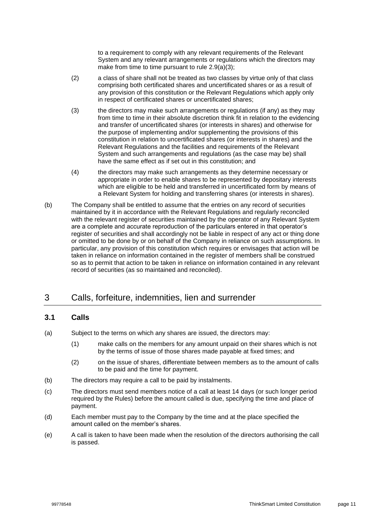to a requirement to comply with any relevant requirements of the Relevant System and any relevant arrangements or regulations which the directors may make from time to time pursuant to rule [2.9\(a\)\(3\);](#page-14-0)

- (2) a class of share shall not be treated as two classes by virtue only of that class comprising both certificated shares and uncertificated shares or as a result of any provision of this constitution or the Relevant Regulations which apply only in respect of certificated shares or uncertificated shares;
- <span id="page-14-0"></span>(3) the directors may make such arrangements or regulations (if any) as they may from time to time in their absolute discretion think fit in relation to the evidencing and transfer of uncertificated shares (or interests in shares) and otherwise for the purpose of implementing and/or supplementing the provisions of this constitution in relation to uncertificated shares (or interests in shares) and the Relevant Regulations and the facilities and requirements of the Relevant System and such arrangements and regulations (as the case may be) shall have the same effect as if set out in this constitution; and
- (4) the directors may make such arrangements as they determine necessary or appropriate in order to enable shares to be represented by depositary interests which are eligible to be held and transferred in uncertificated form by means of a Relevant System for holding and transferring shares (or interests in shares).
- (b) The Company shall be entitled to assume that the entries on any record of securities maintained by it in accordance with the Relevant Regulations and regularly reconciled with the relevant register of securities maintained by the operator of any Relevant System are a complete and accurate reproduction of the particulars entered in that operator's register of securities and shall accordingly not be liable in respect of any act or thing done or omitted to be done by or on behalf of the Company in reliance on such assumptions. In particular, any provision of this constitution which requires or envisages that action will be taken in reliance on information contained in the register of members shall be construed so as to permit that action to be taken in reliance on information contained in any relevant record of securities (as so maintained and reconciled).

### 3 Calls, forfeiture, indemnities, lien and surrender

### <span id="page-14-1"></span>**3.1 Calls**

- (a) Subject to the terms on which any shares are issued, the directors may:
	- (1) make calls on the members for any amount unpaid on their shares which is not by the terms of issue of those shares made payable at fixed times; and
	- (2) on the issue of shares, differentiate between members as to the amount of calls to be paid and the time for payment.
- (b) The directors may require a call to be paid by instalments.
- (c) The directors must send members notice of a call at least 14 days (or such longer period required by the Rules) before the amount called is due, specifying the time and place of payment.
- (d) Each member must pay to the Company by the time and at the place specified the amount called on the member's shares.
- (e) A call is taken to have been made when the resolution of the directors authorising the call is passed.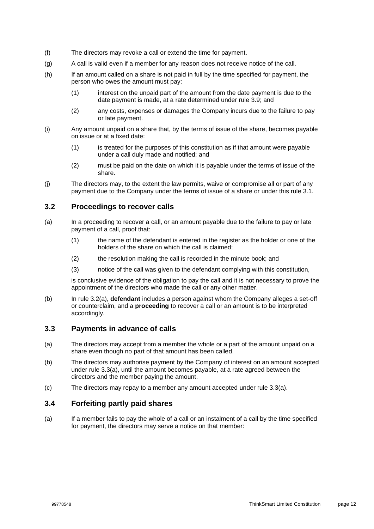- (f) The directors may revoke a call or extend the time for payment.
- (g) A call is valid even if a member for any reason does not receive notice of the call.
- <span id="page-15-4"></span>(h) If an amount called on a share is not paid in full by the time specified for payment, the person who owes the amount must pay:
	- (1) interest on the unpaid part of the amount from the date payment is due to the date payment is made, at a rate determined under rule [3.9;](#page-19-0) and
	- (2) any costs, expenses or damages the Company incurs due to the failure to pay or late payment.
- (i) Any amount unpaid on a share that, by the terms of issue of the share, becomes payable on issue or at a fixed date:
	- (1) is treated for the purposes of this constitution as if that amount were payable under a call duly made and notified; and
	- (2) must be paid on the date on which it is payable under the terms of issue of the share.
- (j) The directors may, to the extent the law permits, waive or compromise all or part of any payment due to the Company under the terms of issue of a share or under this rule [3.1.](#page-14-1)

### **3.2 Proceedings to recover calls**

- <span id="page-15-0"></span>(a) In a proceeding to recover a call, or an amount payable due to the failure to pay or late payment of a call, proof that:
	- (1) the name of the defendant is entered in the register as the holder or one of the holders of the share on which the call is claimed;
	- (2) the resolution making the call is recorded in the minute book; and
	- (3) notice of the call was given to the defendant complying with this constitution,

is conclusive evidence of the obligation to pay the call and it is not necessary to prove the appointment of the directors who made the call or any other matter.

(b) In rule [3.2\(a\),](#page-15-0) **defendant** includes a person against whom the Company alleges a set-off or counterclaim, and a **proceeding** to recover a call or an amount is to be interpreted accordingly.

### **3.3 Payments in advance of calls**

- <span id="page-15-1"></span>(a) The directors may accept from a member the whole or a part of the amount unpaid on a share even though no part of that amount has been called.
- (b) The directors may authorise payment by the Company of interest on an amount accepted under rule [3.3\(a\),](#page-15-1) until the amount becomes payable, at a rate agreed between the directors and the member paying the amount.
- (c) The directors may repay to a member any amount accepted under rule [3.3\(a\).](#page-15-1)

### <span id="page-15-3"></span>**3.4 Forfeiting partly paid shares**

<span id="page-15-2"></span>(a) If a member fails to pay the whole of a call or an instalment of a call by the time specified for payment, the directors may serve a notice on that member: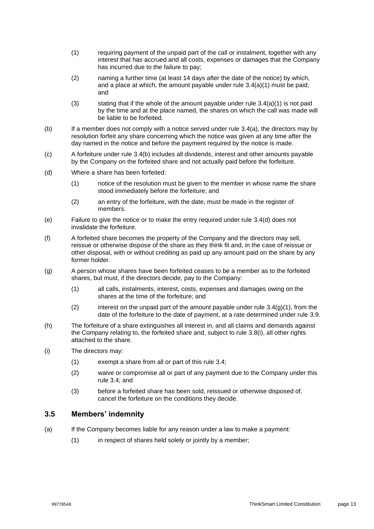- <span id="page-16-0"></span>(1) requiring payment of the unpaid part of the call or instalment, together with any interest that has accrued and all costs, expenses or damages that the Company has incurred due to the failure to pay;
- (2) naming a further time (at least 14 days after the date of the notice) by which, and a place at which, the amount payable under rule [3.4\(a\)\(1\)](#page-16-0) must be paid; and
- (3) stating that if the whole of the amount payable under rule  $3.4(a)(1)$  is not paid by the time and at the place named, the shares on which the call was made will be liable to be forfeited.
- <span id="page-16-1"></span>(b) If a member does not comply with a notice served under rule [3.4\(a\),](#page-15-2) the directors may by resolution forfeit any share concerning which the notice was given at any time after the day named in the notice and before the payment required by the notice is made.
- (c) A forfeiture under rule [3.4\(b\)](#page-16-1) includes all dividends, interest and other amounts payable by the Company on the forfeited share and not actually paid before the forfeiture.
- <span id="page-16-2"></span>(d) Where a share has been forfeited:
	- (1) notice of the resolution must be given to the member in whose name the share stood immediately before the forfeiture; and
	- (2) an entry of the forfeiture, with the date, must be made in the register of members.
- (e) Failure to give the notice or to make the entry required under rule [3.4\(d\)](#page-16-2) does not invalidate the forfeiture.
- <span id="page-16-5"></span>(f) A forfeited share becomes the property of the Company and the directors may sell, reissue or otherwise dispose of the share as they think fit and, in the case of reissue or other disposal, with or without crediting as paid up any amount paid on the share by any former holder.
- <span id="page-16-3"></span>(g) A person whose shares have been forfeited ceases to be a member as to the forfeited shares, but must, if the directors decide, pay to the Company:
	- (1) all calls, instalments, interest, costs, expenses and damages owing on the shares at the time of the forfeiture; and
	- (2) interest on the unpaid part of the amount payable under rule  $3.4(q)(1)$ , from the date of the forfeiture to the date of payment, at a rate determined under rule [3.9.](#page-19-0)
- <span id="page-16-7"></span><span id="page-16-6"></span>(h) The forfeiture of a share extinguishes all interest in, and all claims and demands against the Company relating to, the forfeited share and, subject to rule [3.8\(i\),](#page-18-0) all other rights attached to the share.
- (i) The directors may:
	- (1) exempt a share from all or part of this rule [3.4;](#page-15-3)
	- (2) waive or compromise all or part of any payment due to the Company under this rule [3.4;](#page-15-3) and
	- (3) before a forfeited share has been sold, reissued or otherwise disposed of, cancel the forfeiture on the conditions they decide.

### <span id="page-16-4"></span>**3.5 Members' indemnity**

- (a) If the Company becomes liable for any reason under a law to make a payment:
	- (1) in respect of shares held solely or jointly by a member;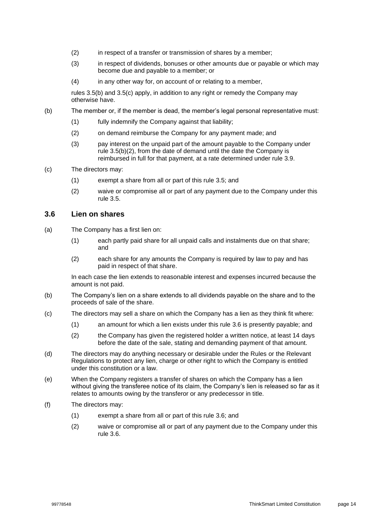- (2) in respect of a transfer or transmission of shares by a member;
- (3) in respect of dividends, bonuses or other amounts due or payable or which may become due and payable to a member; or
- (4) in any other way for, on account of or relating to a member,

rules [3.5\(b\)](#page-17-0) and [3.5\(c\)](#page-17-1) apply, in addition to any right or remedy the Company may otherwise have.

- <span id="page-17-2"></span><span id="page-17-0"></span>(b) The member or, if the member is dead, the member's legal personal representative must:
	- (1) fully indemnify the Company against that liability;
	- (2) on demand reimburse the Company for any payment made; and
	- (3) pay interest on the unpaid part of the amount payable to the Company under rule [3.5\(b\)\(2\),](#page-17-2) from the date of demand until the date the Company is reimbursed in full for that payment, at a rate determined under rule [3.9.](#page-19-0)
- <span id="page-17-5"></span><span id="page-17-1"></span>(c) The directors may:
	- (1) exempt a share from all or part of this rule [3.5;](#page-16-4) and
	- (2) waive or compromise all or part of any payment due to the Company under this rule [3.5.](#page-16-4)

### <span id="page-17-3"></span>**3.6 Lien on shares**

- (a) The Company has a first lien on:
	- (1) each partly paid share for all unpaid calls and instalments due on that share; and
	- (2) each share for any amounts the Company is required by law to pay and has paid in respect of that share.

In each case the lien extends to reasonable interest and expenses incurred because the amount is not paid.

- (b) The Company's lien on a share extends to all dividends payable on the share and to the proceeds of sale of the share.
- <span id="page-17-4"></span>(c) The directors may sell a share on which the Company has a lien as they think fit where:
	- (1) an amount for which a lien exists under this rule [3.6](#page-17-3) is presently payable; and
	- (2) the Company has given the registered holder a written notice, at least 14 days before the date of the sale, stating and demanding payment of that amount.
- (d) The directors may do anything necessary or desirable under the Rules or the Relevant Regulations to protect any lien, charge or other right to which the Company is entitled under this constitution or a law.
- (e) When the Company registers a transfer of shares on which the Company has a lien without giving the transferee notice of its claim, the Company's lien is released so far as it relates to amounts owing by the transferor or any predecessor in title.
- (f) The directors may:
	- (1) exempt a share from all or part of this rule [3.6;](#page-17-3) and
	- (2) waive or compromise all or part of any payment due to the Company under this rule [3.6.](#page-17-3)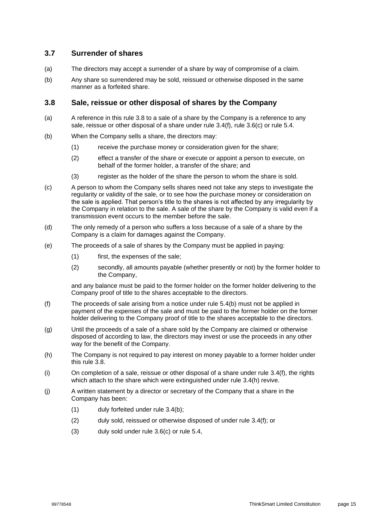### **3.7 Surrender of shares**

- (a) The directors may accept a surrender of a share by way of compromise of a claim.
- (b) Any share so surrendered may be sold, reissued or otherwise disposed in the same manner as a forfeited share.

### <span id="page-18-1"></span>**3.8 Sale, reissue or other disposal of shares by the Company**

- (a) A reference in this rule [3.8](#page-18-1) to a sale of a share by the Company is a reference to any sale, reissue or other disposal of a share under rule [3.4\(f\),](#page-16-5) rule [3.6\(c\)](#page-17-4) or rule [5.4.](#page-25-0)
- (b) When the Company sells a share, the directors may:
	- (1) receive the purchase money or consideration given for the share;
	- (2) effect a transfer of the share or execute or appoint a person to execute, on behalf of the former holder, a transfer of the share; and
	- (3) register as the holder of the share the person to whom the share is sold.
- (c) A person to whom the Company sells shares need not take any steps to investigate the regularity or validity of the sale, or to see how the purchase money or consideration on the sale is applied. That person's title to the shares is not affected by any irregularity by the Company in relation to the sale. A sale of the share by the Company is valid even if a transmission event occurs to the member before the sale.
- (d) The only remedy of a person who suffers a loss because of a sale of a share by the Company is a claim for damages against the Company.
- (e) The proceeds of a sale of shares by the Company must be applied in paying:
	- (1) first, the expenses of the sale;
	- (2) secondly, all amounts payable (whether presently or not) by the former holder to the Company,

and any balance must be paid to the former holder on the former holder delivering to the Company proof of title to the shares acceptable to the directors.

- (f) The proceeds of sale arising from a notice under rule [5.4\(b\)](#page-25-1) must not be applied in payment of the expenses of the sale and must be paid to the former holder on the former holder delivering to the Company proof of title to the shares acceptable to the directors.
- (g) Until the proceeds of a sale of a share sold by the Company are claimed or otherwise disposed of according to law, the directors may invest or use the proceeds in any other way for the benefit of the Company.
- (h) The Company is not required to pay interest on money payable to a former holder under this rule [3.8.](#page-18-1)
- <span id="page-18-0"></span>(i) On completion of a sale, reissue or other disposal of a share under rule [3.4\(f\),](#page-16-5) the rights which attach to the share which were extinguished under rule [3.4\(h\)](#page-16-6) revive.
- (j) A written statement by a director or secretary of the Company that a share in the Company has been:
	- (1) duly forfeited under rule [3.4\(b\);](#page-16-1)
	- (2) duly sold, reissued or otherwise disposed of under rule [3.4\(f\);](#page-16-5) or
	- (3) duly sold under rule [3.6\(c\)](#page-17-4) or rule [5.4,](#page-25-0)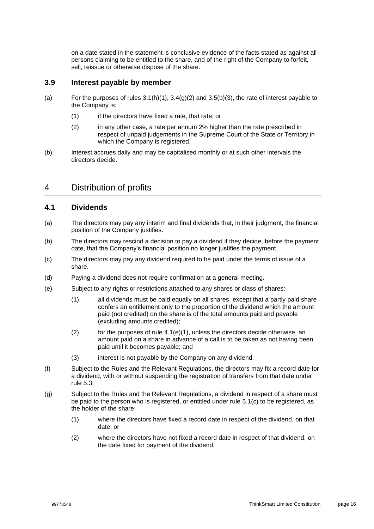on a date stated in the statement is conclusive evidence of the facts stated as against all persons claiming to be entitled to the share, and of the right of the Company to forfeit, sell, reissue or otherwise dispose of the share.

### <span id="page-19-0"></span>**3.9 Interest payable by member**

- (a) For the purposes of rules [3.1\(h\)\(1\),](#page-15-4) [3.4\(g\)\(2\)](#page-16-7) and [3.5\(b\)\(3\),](#page-17-5) the rate of interest payable to the Company is:
	- (1) if the directors have fixed a rate, that rate; or
	- (2) in any other case, a rate per annum 2% higher than the rate prescribed in respect of unpaid judgements in the Supreme Court of the State or Territory in which the Company is registered.
- (b) Interest accrues daily and may be capitalised monthly or at such other intervals the directors decide.

### 4 Distribution of profits

### **4.1 Dividends**

- (a) The directors may pay any interim and final dividends that, in their judgment, the financial position of the Company justifies.
- (b) The directors may rescind a decision to pay a dividend if they decide, before the payment date, that the Company's financial position no longer justifies the payment.
- (c) The directors may pay any dividend required to be paid under the terms of issue of a share.
- (d) Paying a dividend does not require confirmation at a general meeting.
- <span id="page-19-2"></span><span id="page-19-1"></span>(e) Subject to any rights or restrictions attached to any shares or class of shares:
	- (1) all dividends must be paid equally on all shares, except that a partly paid share confers an entitlement only to the proportion of the dividend which the amount paid (not credited) on the share is of the total amounts paid and payable (excluding amounts credited);
	- (2) for the purposes of rule [4.1\(e\)\(1\),](#page-19-1) unless the directors decide otherwise, an amount paid on a share in advance of a call is to be taken as not having been paid until it becomes payable; and
	- (3) interest is not payable by the Company on any dividend.
- <span id="page-19-3"></span>(f) Subject to the Rules and the Relevant Regulations, the directors may fix a record date for a dividend, with or without suspending the registration of transfers from that date under rule [5.3.](#page-24-0)
- <span id="page-19-4"></span>(g) Subject to the Rules and the Relevant Regulations, a dividend in respect of a share must be paid to the person who is registered, or entitled under rule [5.1\(c\)](#page-24-1) to be registered, as the holder of the share:
	- (1) where the directors have fixed a record date in respect of the dividend, on that date; or
	- (2) where the directors have not fixed a record date in respect of that dividend, on the date fixed for payment of the dividend,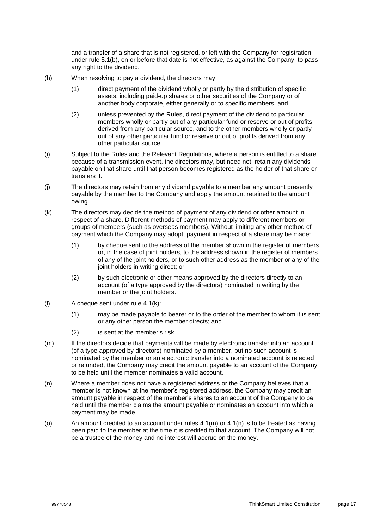and a transfer of a share that is not registered, or left with the Company for registration under rule [5.1\(b\),](#page-23-0) on or before that date is not effective, as against the Company, to pass any right to the dividend.

- <span id="page-20-3"></span>(h) When resolving to pay a dividend, the directors may:
	- (1) direct payment of the dividend wholly or partly by the distribution of specific assets, including paid-up shares or other securities of the Company or of another body corporate, either generally or to specific members; and
	- (2) unless prevented by the Rules, direct payment of the dividend to particular members wholly or partly out of any particular fund or reserve or out of profits derived from any particular source, and to the other members wholly or partly out of any other particular fund or reserve or out of profits derived from any other particular source.
- (i) Subject to the Rules and the Relevant Regulations, where a person is entitled to a share because of a transmission event, the directors may, but need not, retain any dividends payable on that share until that person becomes registered as the holder of that share or transfers it.
- (j) The directors may retain from any dividend payable to a member any amount presently payable by the member to the Company and apply the amount retained to the amount owing.
- <span id="page-20-0"></span>(k) The directors may decide the method of payment of any dividend or other amount in respect of a share. Different methods of payment may apply to different members or groups of members (such as overseas members). Without limiting any other method of payment which the Company may adopt, payment in respect of a share may be made:
	- (1) by cheque sent to the address of the member shown in the register of members or, in the case of joint holders, to the address shown in the register of members of any of the joint holders, or to such other address as the member or any of the joint holders in writing direct; or
	- (2) by such electronic or other means approved by the directors directly to an account (of a type approved by the directors) nominated in writing by the member or the joint holders.
- (l) A cheque sent under rule [4.1\(k\):](#page-20-0)
	- (1) may be made payable to bearer or to the order of the member to whom it is sent or any other person the member directs; and
	- (2) is sent at the member's risk.
- <span id="page-20-1"></span>(m) If the directors decide that payments will be made by electronic transfer into an account (of a type approved by directors) nominated by a member, but no such account is nominated by the member or an electronic transfer into a nominated account is rejected or refunded, the Company may credit the amount payable to an account of the Company to be held until the member nominates a valid account.
- <span id="page-20-2"></span>(n) Where a member does not have a registered address or the Company believes that a member is not known at the member's registered address, the Company may credit an amount payable in respect of the member's shares to an account of the Company to be held until the member claims the amount payable or nominates an account into which a payment may be made.
- (o) An amount credited to an account under rules  $4.1(m)$  or  $4.1(n)$  is to be treated as having been paid to the member at the time it is credited to that account. The Company will not be a trustee of the money and no interest will accrue on the money.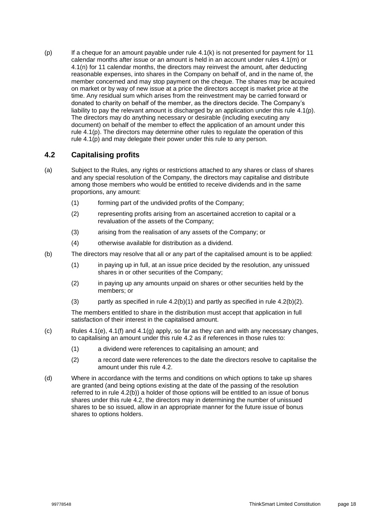<span id="page-21-0"></span>(p) If a cheque for an amount payable under rule [4.1\(k\)](#page-20-0) is not presented for payment for 11 calendar months after issue or an amount is held in an account under rules [4.1\(m\)](#page-20-1) or [4.1\(n\)](#page-20-2) for 11 calendar months, the directors may reinvest the amount, after deducting reasonable expenses, into shares in the Company on behalf of, and in the name of, the member concerned and may stop payment on the cheque. The shares may be acquired on market or by way of new issue at a price the directors accept is market price at the time. Any residual sum which arises from the reinvestment may be carried forward or donated to charity on behalf of the member, as the directors decide. The Company's liability to pay the relevant amount is discharged by an application under this rule [4.1\(p\).](#page-21-0) The directors may do anything necessary or desirable (including executing any document) on behalf of the member to effect the application of an amount under this rule [4.1\(p\).](#page-21-0) The directors may determine other rules to regulate the operation of this rule [4.1\(p\)](#page-21-0) and may delegate their power under this rule to any person.

### <span id="page-21-1"></span>**4.2 Capitalising profits**

- (a) Subject to the Rules, any rights or restrictions attached to any shares or class of shares and any special resolution of the Company, the directors may capitalise and distribute among those members who would be entitled to receive dividends and in the same proportions, any amount:
	- (1) forming part of the undivided profits of the Company;
	- (2) representing profits arising from an ascertained accretion to capital or a revaluation of the assets of the Company;
	- (3) arising from the realisation of any assets of the Company; or
	- (4) otherwise available for distribution as a dividend.
- <span id="page-21-4"></span><span id="page-21-3"></span><span id="page-21-2"></span>(b) The directors may resolve that all or any part of the capitalised amount is to be applied:
	- (1) in paying up in full, at an issue price decided by the resolution, any unissued shares in or other securities of the Company;
	- (2) in paying up any amounts unpaid on shares or other securities held by the members; or
	- (3) partly as specified in rule  $(4.2(b)(1))$  $(4.2(b)(1))$  $(4.2(b)(1))$  and partly as specified in rule  $(4.2(b)(2))$ .

The members entitled to share in the distribution must accept that application in full satisfaction of their interest in the capitalised amount.

- (c) Rules [4.1\(e\),](#page-19-2) [4.1\(f\)](#page-19-3) and [4.1\(g\)](#page-19-4) apply, so far as they can and with any necessary changes, to capitalising an amount under this rule [4.2](#page-21-1) as if references in those rules to:
	- (1) a dividend were references to capitalising an amount; and
	- (2) a record date were references to the date the directors resolve to capitalise the amount under this rule [4.2.](#page-21-1)
- (d) Where in accordance with the terms and conditions on which options to take up shares are granted (and being options existing at the date of the passing of the resolution referred to in rule [4.2\(b\)\)](#page-21-4) a holder of those options will be entitled to an issue of bonus shares under this rule [4.2,](#page-21-1) the directors may in determining the number of unissued shares to be so issued, allow in an appropriate manner for the future issue of bonus shares to options holders.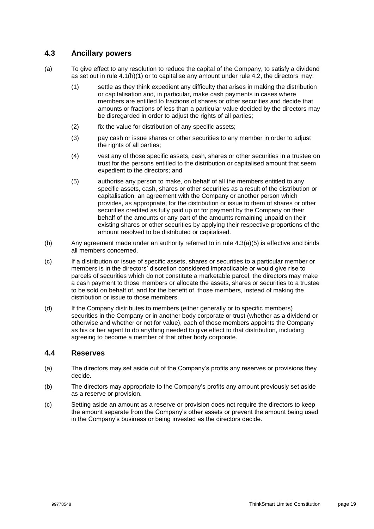### <span id="page-22-1"></span>**4.3 Ancillary powers**

- (a) To give effect to any resolution to reduce the capital of the Company, to satisfy a dividend as set out in rule  $4.1(h)(1)$  or to capitalise any amount under rule  $4.2$ , the directors may:
	- (1) settle as they think expedient any difficulty that arises in making the distribution or capitalisation and, in particular, make cash payments in cases where members are entitled to fractions of shares or other securities and decide that amounts or fractions of less than a particular value decided by the directors may be disregarded in order to adjust the rights of all parties;
	- (2) fix the value for distribution of any specific assets;
	- (3) pay cash or issue shares or other securities to any member in order to adjust the rights of all parties;
	- (4) vest any of those specific assets, cash, shares or other securities in a trustee on trust for the persons entitled to the distribution or capitalised amount that seem expedient to the directors; and
	- (5) authorise any person to make, on behalf of all the members entitled to any specific assets, cash, shares or other securities as a result of the distribution or capitalisation, an agreement with the Company or another person which provides, as appropriate, for the distribution or issue to them of shares or other securities credited as fully paid up or for payment by the Company on their behalf of the amounts or any part of the amounts remaining unpaid on their existing shares or other securities by applying their respective proportions of the amount resolved to be distributed or capitalised.
- <span id="page-22-0"></span>(b) Any agreement made under an authority referred to in rule [4.3\(a\)\(5\)](#page-22-0) is effective and binds all members concerned.
- (c) If a distribution or issue of specific assets, shares or securities to a particular member or members is in the directors' discretion considered impracticable or would give rise to parcels of securities which do not constitute a marketable parcel, the directors may make a cash payment to those members or allocate the assets, shares or securities to a trustee to be sold on behalf of, and for the benefit of, those members, instead of making the distribution or issue to those members.
- (d) If the Company distributes to members (either generally or to specific members) securities in the Company or in another body corporate or trust (whether as a dividend or otherwise and whether or not for value), each of those members appoints the Company as his or her agent to do anything needed to give effect to that distribution, including agreeing to become a member of that other body corporate.

#### **4.4 Reserves**

- (a) The directors may set aside out of the Company's profits any reserves or provisions they decide.
- (b) The directors may appropriate to the Company's profits any amount previously set aside as a reserve or provision.
- (c) Setting aside an amount as a reserve or provision does not require the directors to keep the amount separate from the Company's other assets or prevent the amount being used in the Company's business or being invested as the directors decide.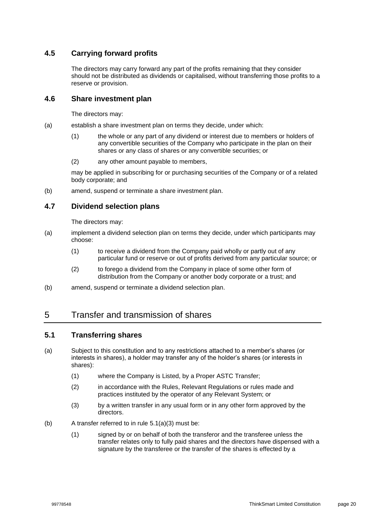### **4.5 Carrying forward profits**

The directors may carry forward any part of the profits remaining that they consider should not be distributed as dividends or capitalised, without transferring those profits to a reserve or provision.

### **4.6 Share investment plan**

The directors may:

- (a) establish a share investment plan on terms they decide, under which:
	- (1) the whole or any part of any dividend or interest due to members or holders of any convertible securities of the Company who participate in the plan on their shares or any class of shares or any convertible securities; or
	- (2) any other amount payable to members,

may be applied in subscribing for or purchasing securities of the Company or of a related body corporate; and

(b) amend, suspend or terminate a share investment plan.

### **4.7 Dividend selection plans**

The directors may:

- (a) implement a dividend selection plan on terms they decide, under which participants may choose:
	- (1) to receive a dividend from the Company paid wholly or partly out of any particular fund or reserve or out of profits derived from any particular source; or
	- (2) to forego a dividend from the Company in place of some other form of distribution from the Company or another body corporate or a trust; and
- (b) amend, suspend or terminate a dividend selection plan.

### 5 Transfer and transmission of shares

### <span id="page-23-2"></span>**5.1 Transferring shares**

- (a) Subject to this constitution and to any restrictions attached to a member's shares (or interests in shares), a holder may transfer any of the holder's shares (or interests in shares):
	- (1) where the Company is Listed, by a Proper ASTC Transfer;
	- (2) in accordance with the Rules, Relevant Regulations or rules made and practices instituted by the operator of any Relevant System; or
	- (3) by a written transfer in any usual form or in any other form approved by the directors.
- <span id="page-23-1"></span><span id="page-23-0"></span>(b) A transfer referred to in rule [5.1\(a\)\(3\)](#page-23-1) must be:
	- (1) signed by or on behalf of both the transferor and the transferee unless the transfer relates only to fully paid shares and the directors have dispensed with a signature by the transferee or the transfer of the shares is effected by a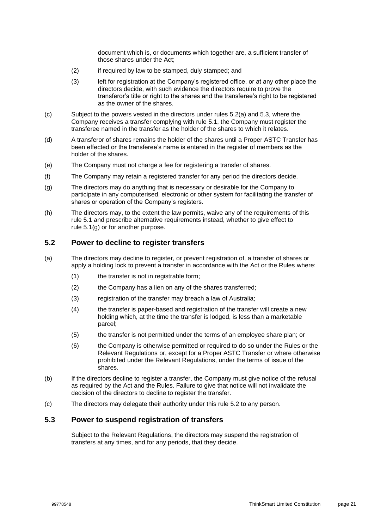document which is, or documents which together are, a sufficient transfer of those shares under the Act;

- (2) if required by law to be stamped, duly stamped; and
- (3) left for registration at the Company's registered office, or at any other place the directors decide, with such evidence the directors require to prove the transferor's title or right to the shares and the transferee's right to be registered as the owner of the shares.
- <span id="page-24-1"></span>(c) Subject to the powers vested in the directors under rules [5.2\(a\)](#page-24-2) and [5.3,](#page-24-0) where the Company receives a transfer complying with rule [5.1,](#page-23-2) the Company must register the transferee named in the transfer as the holder of the shares to which it relates.
- (d) A transferor of shares remains the holder of the shares until a Proper ASTC Transfer has been effected or the transferee's name is entered in the register of members as the holder of the shares.
- (e) The Company must not charge a fee for registering a transfer of shares.
- (f) The Company may retain a registered transfer for any period the directors decide.
- <span id="page-24-3"></span>(g) The directors may do anything that is necessary or desirable for the Company to participate in any computerised, electronic or other system for facilitating the transfer of shares or operation of the Company's registers.
- (h) The directors may, to the extent the law permits, waive any of the requirements of this rule [5.1](#page-23-2) and prescribe alternative requirements instead, whether to give effect to rule [5.1\(g\)](#page-24-3) or for another purpose.

#### <span id="page-24-4"></span>**5.2 Power to decline to register transfers**

- <span id="page-24-2"></span>(a) The directors may decline to register, or prevent registration of, a transfer of shares or apply a holding lock to prevent a transfer in accordance with the Act or the Rules where:
	- (1) the transfer is not in registrable form;
	- (2) the Company has a lien on any of the shares transferred;
	- (3) registration of the transfer may breach a law of Australia;
	- (4) the transfer is paper-based and registration of the transfer will create a new holding which, at the time the transfer is lodged, is less than a marketable parcel;
	- (5) the transfer is not permitted under the terms of an employee share plan; or
	- (6) the Company is otherwise permitted or required to do so under the Rules or the Relevant Regulations or, except for a Proper ASTC Transfer or where otherwise prohibited under the Relevant Regulations, under the terms of issue of the shares.
- (b) If the directors decline to register a transfer, the Company must give notice of the refusal as required by the Act and the Rules. Failure to give that notice will not invalidate the decision of the directors to decline to register the transfer.
- (c) The directors may delegate their authority under this rule [5.2](#page-24-4) to any person.

#### <span id="page-24-0"></span>**5.3 Power to suspend registration of transfers**

Subject to the Relevant Regulations, the directors may suspend the registration of transfers at any times, and for any periods, that they decide.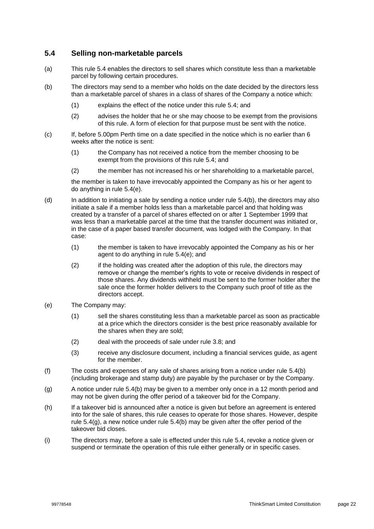### <span id="page-25-0"></span>**5.4 Selling non-marketable parcels**

- (a) This rule [5.4](#page-25-0) enables the directors to sell shares which constitute less than a marketable parcel by following certain procedures.
- <span id="page-25-1"></span>(b) The directors may send to a member who holds on the date decided by the directors less than a marketable parcel of shares in a class of shares of the Company a notice which:
	- (1) explains the effect of the notice under this rule [5.4;](#page-25-0) and
	- (2) advises the holder that he or she may choose to be exempt from the provisions of this rule. A form of election for that purpose must be sent with the notice.
- (c) If, before 5.00pm Perth time on a date specified in the notice which is no earlier than 6 weeks after the notice is sent:
	- (1) the Company has not received a notice from the member choosing to be exempt from the provisions of this rule [5.4;](#page-25-0) and
	- (2) the member has not increased his or her shareholding to a marketable parcel,

the member is taken to have irrevocably appointed the Company as his or her agent to do anything in rule [5.4\(e\).](#page-25-2)

- (d) In addition to initiating a sale by sending a notice under rule [5.4\(b\),](#page-25-1) the directors may also initiate a sale if a member holds less than a marketable parcel and that holding was created by a transfer of a parcel of shares effected on or after 1 September 1999 that was less than a marketable parcel at the time that the transfer document was initiated or, in the case of a paper based transfer document, was lodged with the Company. In that case:
	- (1) the member is taken to have irrevocably appointed the Company as his or her agent to do anything in rule [5.4\(e\);](#page-25-2) and
	- (2) if the holding was created after the adoption of this rule, the directors may remove or change the member's rights to vote or receive dividends in respect of those shares. Any dividends withheld must be sent to the former holder after the sale once the former holder delivers to the Company such proof of title as the directors accept.
- <span id="page-25-2"></span>(e) The Company may:
	- (1) sell the shares constituting less than a marketable parcel as soon as practicable at a price which the directors consider is the best price reasonably available for the shares when they are sold;
	- (2) deal with the proceeds of sale under rule [3.8;](#page-18-1) and
	- (3) receive any disclosure document, including a financial services guide, as agent for the member.
- (f) The costs and expenses of any sale of shares arising from a notice under rule [5.4\(b\)](#page-25-1) (including brokerage and stamp duty) are payable by the purchaser or by the Company.
- <span id="page-25-3"></span>(g) A notice under rule [5.4\(b\)](#page-25-1) may be given to a member only once in a 12 month period and may not be given during the offer period of a takeover bid for the Company.
- (h) If a takeover bid is announced after a notice is given but before an agreement is entered into for the sale of shares, this rule ceases to operate for those shares. However, despite rule [5.4\(g\),](#page-25-3) a new notice under rule [5.4\(b\)](#page-25-1) may be given after the offer period of the takeover bid closes.
- (i) The directors may, before a sale is effected under this rule [5.4,](#page-25-0) revoke a notice given or suspend or terminate the operation of this rule either generally or in specific cases.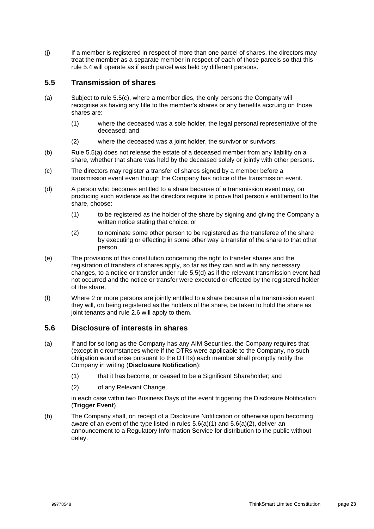(j) If a member is registered in respect of more than one parcel of shares, the directors may treat the member as a separate member in respect of each of those parcels so that this rule [5.4](#page-25-0) will operate as if each parcel was held by different persons.

### **5.5 Transmission of shares**

- <span id="page-26-1"></span>(a) Subject to rule [5.5\(c\),](#page-26-0) where a member dies, the only persons the Company will recognise as having any title to the member's shares or any benefits accruing on those shares are:
	- (1) where the deceased was a sole holder, the legal personal representative of the deceased; and
	- (2) where the deceased was a joint holder, the survivor or survivors.
- (b) Rule [5.5\(a\)](#page-26-1) does not release the estate of a deceased member from any liability on a share, whether that share was held by the deceased solely or jointly with other persons.
- <span id="page-26-0"></span>(c) The directors may register a transfer of shares signed by a member before a transmission event even though the Company has notice of the transmission event.
- <span id="page-26-2"></span>(d) A person who becomes entitled to a share because of a transmission event may, on producing such evidence as the directors require to prove that person's entitlement to the share, choose:
	- (1) to be registered as the holder of the share by signing and giving the Company a written notice stating that choice; or
	- (2) to nominate some other person to be registered as the transferee of the share by executing or effecting in some other way a transfer of the share to that other person.
- (e) The provisions of this constitution concerning the right to transfer shares and the registration of transfers of shares apply, so far as they can and with any necessary changes, to a notice or transfer under rule [5.5\(d\)](#page-26-2) as if the relevant transmission event had not occurred and the notice or transfer were executed or effected by the registered holder of the share.
- (f) Where 2 or more persons are jointly entitled to a share because of a transmission event they will, on being registered as the holders of the share, be taken to hold the share as joint tenants and rule [2.6](#page-13-1) will apply to them.

### **5.6 Disclosure of interests in shares**

- <span id="page-26-5"></span><span id="page-26-3"></span>(a) If and for so long as the Company has any AIM Securities, the Company requires that (except in circumstances where if the DTRs were applicable to the Company, no such obligation would arise pursuant to the DTRs) each member shall promptly notify the Company in writing (**Disclosure Notification**):
	- (1) that it has become, or ceased to be a Significant Shareholder; and
	- (2) of any Relevant Change,

in each case within two Business Days of the event triggering the Disclosure Notification (**Trigger Event**).

<span id="page-26-6"></span><span id="page-26-4"></span>(b) The Company shall, on receipt of a Disclosure Notification or otherwise upon becoming aware of an event of the type listed in rules [5.6\(a\)\(1\)](#page-26-3) and [5.6\(a\)\(2\),](#page-26-4) deliver an announcement to a Regulatory Information Service for distribution to the public without delay.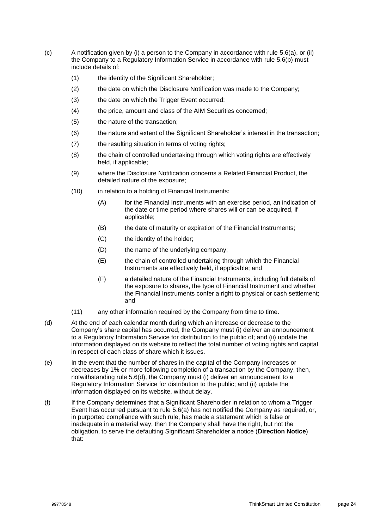- <span id="page-27-1"></span>(c) A notification given by (i) a person to the Company in accordance with rule [5.6\(a\),](#page-26-5) or (ii) the Company to a Regulatory Information Service in accordance with rule [5.6\(b\)](#page-26-6) must include details of:
	- (1) the identity of the Significant Shareholder;
	- (2) the date on which the Disclosure Notification was made to the Company;
	- (3) the date on which the Trigger Event occurred;
	- (4) the price, amount and class of the AIM Securities concerned;
	- (5) the nature of the transaction;
	- (6) the nature and extent of the Significant Shareholder's interest in the transaction;
	- (7) the resulting situation in terms of voting rights;
	- (8) the chain of controlled undertaking through which voting rights are effectively held, if applicable;
	- (9) where the Disclosure Notification concerns a Related Financial Product, the detailed nature of the exposure;
	- (10) in relation to a holding of Financial Instruments:
		- (A) for the Financial Instruments with an exercise period, an indication of the date or time period where shares will or can be acquired, if applicable;
		- (B) the date of maturity or expiration of the Financial Instruments;
		- (C) the identity of the holder;
		- (D) the name of the underlying company;
		- (E) the chain of controlled undertaking through which the Financial Instruments are effectively held, if applicable; and
		- (F) a detailed nature of the Financial Instruments, including full details of the exposure to shares, the type of Financial Instrument and whether the Financial Instruments confer a right to physical or cash settlement; and
	- (11) any other information required by the Company from time to time.
- <span id="page-27-0"></span>(d) At the end of each calendar month during which an increase or decrease to the Company's share capital has occurred, the Company must (i) deliver an announcement to a Regulatory Information Service for distribution to the public of; and (ii) update the information displayed on its website to reflect the total number of voting rights and capital in respect of each class of share which it issues.
- (e) In the event that the number of shares in the capital of the Company increases or decreases by 1% or more following completion of a transaction by the Company, then, notwithstanding rule [5.6\(d\),](#page-27-0) the Company must (i) deliver an announcement to a Regulatory Information Service for distribution to the public; and (ii) update the information displayed on its website, without delay.
- <span id="page-27-2"></span>(f) If the Company determines that a Significant Shareholder in relation to whom a Trigger Event has occurred pursuant to rule [5.6\(a\)](#page-26-5) has not notified the Company as required, or, in purported compliance with such rule, has made a statement which is false or inadequate in a material way, then the Company shall have the right, but not the obligation, to serve the defaulting Significant Shareholder a notice (**Direction Notice**) that: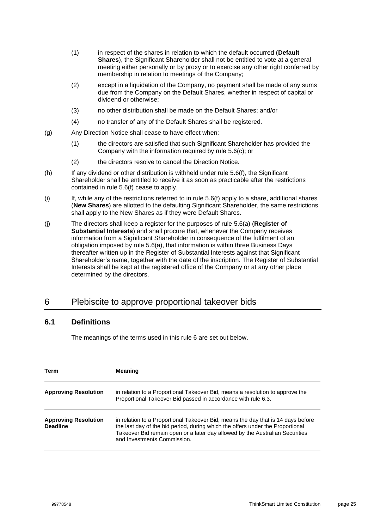- (1) in respect of the shares in relation to which the default occurred (**Default Shares**), the Significant Shareholder shall not be entitled to vote at a general meeting either personally or by proxy or to exercise any other right conferred by membership in relation to meetings of the Company;
- (2) except in a liquidation of the Company, no payment shall be made of any sums due from the Company on the Default Shares, whether in respect of capital or dividend or otherwise;
- (3) no other distribution shall be made on the Default Shares; and/or
- (4) no transfer of any of the Default Shares shall be registered.
- (g) Any Direction Notice shall cease to have effect when:
	- (1) the directors are satisfied that such Significant Shareholder has provided the Company with the information required by rule [5.6\(c\);](#page-27-1) or
	- (2) the directors resolve to cancel the Direction Notice.
- (h) If any dividend or other distribution is withheld under rule [5.6\(f\),](#page-27-2) the Significant Shareholder shall be entitled to receive it as soon as practicable after the restrictions contained in rule [5.6\(f\)](#page-27-2) cease to apply.
- (i) If, while any of the restrictions referred to in rule [5.6\(f\)](#page-27-2) apply to a share, additional shares (**New Shares**) are allotted to the defaulting Significant Shareholder, the same restrictions shall apply to the New Shares as if they were Default Shares.
- (j) The directors shall keep a register for the purposes of rule [5.6\(a\)](#page-26-5) (**Register of Substantial Interests**) and shall procure that, whenever the Company receives information from a Significant Shareholder in consequence of the fulfilment of an obligation imposed by rule [5.6\(a\),](#page-26-5) that information is within three Business Days thereafter written up in the Register of Substantial Interests against that Significant Shareholder's name, together with the date of the inscription. The Register of Substantial Interests shall be kept at the registered office of the Company or at any other place determined by the directors.

### <span id="page-28-0"></span>6 Plebiscite to approve proportional takeover bids

### <span id="page-28-1"></span>**6.1 Definitions**

The meanings of the terms used in this rule [6](#page-28-0) are set out below.

| Term                                           | <b>Meaning</b>                                                                                                                                                                                                                                                                    |
|------------------------------------------------|-----------------------------------------------------------------------------------------------------------------------------------------------------------------------------------------------------------------------------------------------------------------------------------|
| <b>Approving Resolution</b>                    | in relation to a Proportional Takeover Bid, means a resolution to approve the<br>Proportional Takeover Bid passed in accordance with rule 6.3.                                                                                                                                    |
| <b>Approving Resolution</b><br><b>Deadline</b> | in relation to a Proportional Takeover Bid, means the day that is 14 days before<br>the last day of the bid period, during which the offers under the Proportional<br>Takeover Bid remain open or a later day allowed by the Australian Securities<br>and Investments Commission. |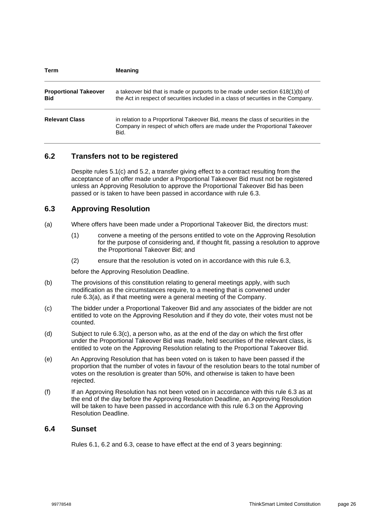| Term                                       | <b>Meaning</b>                                                                                                                                                          |
|--------------------------------------------|-------------------------------------------------------------------------------------------------------------------------------------------------------------------------|
| <b>Proportional Takeover</b><br><b>Bid</b> | a takeover bid that is made or purports to be made under section $618(1)(b)$ of<br>the Act in respect of securities included in a class of securities in the Company.   |
| <b>Relevant Class</b>                      | in relation to a Proportional Takeover Bid, means the class of securities in the<br>Company in respect of which offers are made under the Proportional Takeover<br>Bid. |

### <span id="page-29-3"></span>**6.2 Transfers not to be registered**

Despite rules [5.1\(c\)](#page-24-1) and [5.2,](#page-24-4) a transfer giving effect to a contract resulting from the acceptance of an offer made under a Proportional Takeover Bid must not be registered unless an Approving Resolution to approve the Proportional Takeover Bid has been passed or is taken to have been passed in accordance with rule [6.3.](#page-29-0)

### <span id="page-29-0"></span>**6.3 Approving Resolution**

- <span id="page-29-1"></span>(a) Where offers have been made under a Proportional Takeover Bid, the directors must:
	- (1) convene a meeting of the persons entitled to vote on the Approving Resolution for the purpose of considering and, if thought fit, passing a resolution to approve the Proportional Takeover Bid; and
	- (2) ensure that the resolution is voted on in accordance with this rule [6.3,](#page-29-0)

before the Approving Resolution Deadline.

- (b) The provisions of this constitution relating to general meetings apply, with such modification as the circumstances require, to a meeting that is convened under rule [6.3\(a\),](#page-29-1) as if that meeting were a general meeting of the Company.
- <span id="page-29-2"></span>(c) The bidder under a Proportional Takeover Bid and any associates of the bidder are not entitled to vote on the Approving Resolution and if they do vote, their votes must not be counted.
- (d) Subject to rule [6.3\(c\),](#page-29-2) a person who, as at the end of the day on which the first offer under the Proportional Takeover Bid was made, held securities of the relevant class, is entitled to vote on the Approving Resolution relating to the Proportional Takeover Bid.
- (e) An Approving Resolution that has been voted on is taken to have been passed if the proportion that the number of votes in favour of the resolution bears to the total number of votes on the resolution is greater than 50%, and otherwise is taken to have been rejected.
- (f) If an Approving Resolution has not been voted on in accordance with this rule [6.3](#page-29-0) as at the end of the day before the Approving Resolution Deadline, an Approving Resolution will be taken to have been passed in accordance with this rule [6.3](#page-29-0) on the Approving Resolution Deadline.

### **6.4 Sunset**

Rules [6.1,](#page-28-1) [6.2](#page-29-3) and [6.3,](#page-29-0) cease to have effect at the end of 3 years beginning: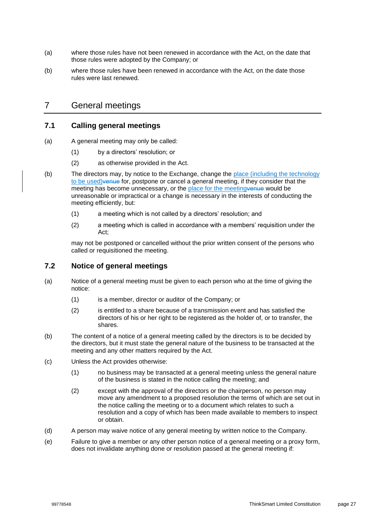- (a) where those rules have not been renewed in accordance with the Act, on the date that those rules were adopted by the Company; or
- (b) where those rules have been renewed in accordance with the Act, on the date those rules were last renewed.

### 7 General meetings

### **7.1 Calling general meetings**

- (a) A general meeting may only be called:
	- (1) by a directors' resolution; or
	- (2) as otherwise provided in the Act.
- (b) The directors may, by notice to the Exchange, change the place (including the technology to be used)venue for, postpone or cancel a general meeting, if they consider that the meeting has become unnecessary, or the place for the meeting venue would be unreasonable or impractical or a change is necessary in the interests of conducting the meeting efficiently, but:
	- (1) a meeting which is not called by a directors' resolution; and
	- (2) a meeting which is called in accordance with a members' requisition under the Act;

may not be postponed or cancelled without the prior written consent of the persons who called or requisitioned the meeting.

### **7.2 Notice of general meetings**

- (a) Notice of a general meeting must be given to each person who at the time of giving the notice:
	- (1) is a member, director or auditor of the Company; or
	- (2) is entitled to a share because of a transmission event and has satisfied the directors of his or her right to be registered as the holder of, or to transfer, the shares.
- (b) The content of a notice of a general meeting called by the directors is to be decided by the directors, but it must state the general nature of the business to be transacted at the meeting and any other matters required by the Act.
- (c) Unless the Act provides otherwise:
	- (1) no business may be transacted at a general meeting unless the general nature of the business is stated in the notice calling the meeting; and
	- (2) except with the approval of the directors or the chairperson, no person may move any amendment to a proposed resolution the terms of which are set out in the notice calling the meeting or to a document which relates to such a resolution and a copy of which has been made available to members to inspect or obtain.
- (d) A person may waive notice of any general meeting by written notice to the Company.
- (e) Failure to give a member or any other person notice of a general meeting or a proxy form, does not invalidate anything done or resolution passed at the general meeting if: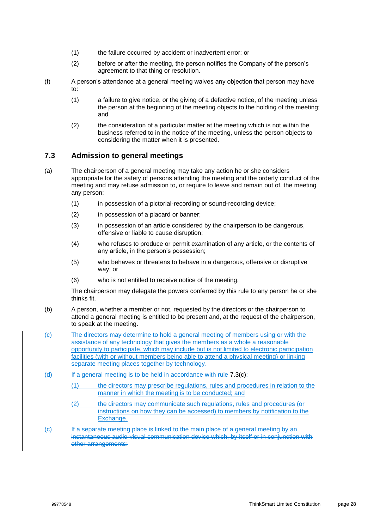- (1) the failure occurred by accident or inadvertent error; or
- (2) before or after the meeting, the person notifies the Company of the person's agreement to that thing or resolution.
- (f) A person's attendance at a general meeting waives any objection that person may have to:
	- (1) a failure to give notice, or the giving of a defective notice, of the meeting unless the person at the beginning of the meeting objects to the holding of the meeting; and
	- (2) the consideration of a particular matter at the meeting which is not within the business referred to in the notice of the meeting, unless the person objects to considering the matter when it is presented.

### <span id="page-31-1"></span>**7.3 Admission to general meetings**

- (a) The chairperson of a general meeting may take any action he or she considers appropriate for the safety of persons attending the meeting and the orderly conduct of the meeting and may refuse admission to, or require to leave and remain out of, the meeting any person:
	- (1) in possession of a pictorial-recording or sound-recording device;
	- (2) in possession of a placard or banner;
	- (3) in possession of an article considered by the chairperson to be dangerous, offensive or liable to cause disruption;
	- (4) who refuses to produce or permit examination of any article, or the contents of any article, in the person's possession;
	- (5) who behaves or threatens to behave in a dangerous, offensive or disruptive way; or
	- (6) who is not entitled to receive notice of the meeting.

The chairperson may delegate the powers conferred by this rule to any person he or she thinks fit.

- (b) A person, whether a member or not, requested by the directors or the chairperson to attend a general meeting is entitled to be present and, at the request of the chairperson, to speak at the meeting.
- <span id="page-31-0"></span>(c) The directors may determine to hold a general meeting of members using or with the assistance of any technology that gives the members as a whole a reasonable opportunity to participate, which may include but is not limited to electronic participation facilities (with or without members being able to attend a physical meeting) or linking separate meeting places together by technology.
- (d) If a general meeting is to be held in accordance with rule [7.3\(c\):](#page-31-0)
	- (1) the directors may prescribe regulations, rules and procedures in relation to the manner in which the meeting is to be conducted; and
	- (2) the directors may communicate such regulations, rules and procedures (or instructions on how they can be accessed) to members by notification to the Exchange.
- (c) If a separate meeting place is linked to the main place of a general meeting by an instantaneous audio-visual communication device which, by itself or in conjunction with other arrangements: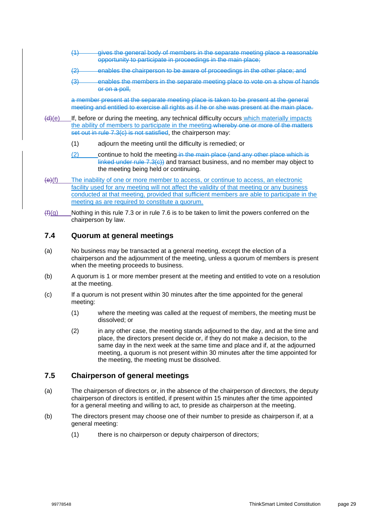- (1) gives the general body of members in the separate meeting place a reasonable opportunity to participate in proceedings in the main place;
- (2) enables the chairperson to be aware of proceedings in the other place; and
- (3) enables the members in the separate meeting place to vote on a show of hands or on a poll,

a member present at the separate meeting place is taken to be present at the general meeting and entitled to exercise all rights as if he or she was present at the main place.

- (d)(e) If, before or during the meeting, any technical difficulty occurs which materially impacts the ability of members to participate in the meeting whereby one or more of the matters set out in rule [7.3\(c\)](#page-31-0) is not satisfied, the chairperson may:
	- (1) adjourn the meeting until the difficulty is remedied; or
	- (2) continue to hold the meeting in the main place (and any other place which is linked under rule [7.3\(c\)\)](#page-31-0) and transact business, and no member may object to the meeting being held or continuing.
- (e)(f) The inability of one or more member to access, or continue to access, an electronic facility used for any meeting will not affect the validity of that meeting or any business conducted at that meeting, provided that sufficient members are able to participate in the meeting as are required to constitute a quorum.
- $(f<sub>i</sub>(g))$  Nothing in this rule [7.3](#page-31-1) or in rule [7.6](#page-33-0) is to be taken to limit the powers conferred on the chairperson by law.

### **7.4 Quorum at general meetings**

- (a) No business may be transacted at a general meeting, except the election of a chairperson and the adjournment of the meeting, unless a quorum of members is present when the meeting proceeds to business.
- (b) A quorum is 1 or more member present at the meeting and entitled to vote on a resolution at the meeting.
- (c) If a quorum is not present within 30 minutes after the time appointed for the general meeting:
	- (1) where the meeting was called at the request of members, the meeting must be dissolved; or
	- (2) in any other case, the meeting stands adjourned to the day, and at the time and place, the directors present decide or, if they do not make a decision, to the same day in the next week at the same time and place and if, at the adjourned meeting, a quorum is not present within 30 minutes after the time appointed for the meeting, the meeting must be dissolved.

#### **7.5 Chairperson of general meetings**

- (a) The chairperson of directors or, in the absence of the chairperson of directors, the deputy chairperson of directors is entitled, if present within 15 minutes after the time appointed for a general meeting and willing to act, to preside as chairperson at the meeting.
- <span id="page-32-0"></span>(b) The directors present may choose one of their number to preside as chairperson if, at a general meeting:
	- (1) there is no chairperson or deputy chairperson of directors;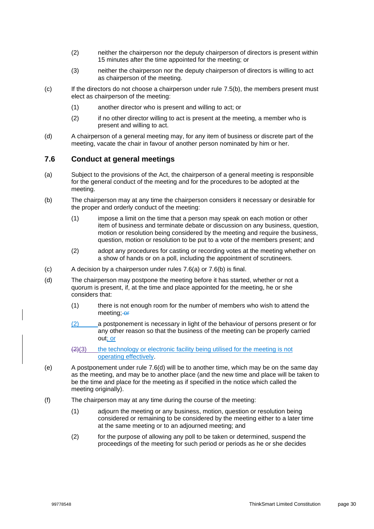- (2) neither the chairperson nor the deputy chairperson of directors is present within 15 minutes after the time appointed for the meeting; or
- (3) neither the chairperson nor the deputy chairperson of directors is willing to act as chairperson of the meeting.
- (c) If the directors do not choose a chairperson under rule [7.5\(b\),](#page-32-0) the members present must elect as chairperson of the meeting:
	- (1) another director who is present and willing to act; or
	- (2) if no other director willing to act is present at the meeting, a member who is present and willing to act.
- (d) A chairperson of a general meeting may, for any item of business or discrete part of the meeting, vacate the chair in favour of another person nominated by him or her.

### <span id="page-33-0"></span>**7.6 Conduct at general meetings**

- <span id="page-33-1"></span>(a) Subject to the provisions of the Act, the chairperson of a general meeting is responsible for the general conduct of the meeting and for the procedures to be adopted at the meeting.
- <span id="page-33-2"></span>(b) The chairperson may at any time the chairperson considers it necessary or desirable for the proper and orderly conduct of the meeting:
	- (1) impose a limit on the time that a person may speak on each motion or other item of business and terminate debate or discussion on any business, question, motion or resolution being considered by the meeting and require the business, question, motion or resolution to be put to a vote of the members present; and
	- (2) adopt any procedures for casting or recording votes at the meeting whether on a show of hands or on a poll, including the appointment of scrutineers.
- (c) A decision by a chairperson under rules [7.6\(a\)](#page-33-1) or [7.6\(b\)](#page-33-2) is final.
- <span id="page-33-3"></span>(d) The chairperson may postpone the meeting before it has started, whether or not a quorum is present, if, at the time and place appointed for the meeting, he or she considers that:
	- (1) there is not enough room for the number of members who wish to attend the meeting; or
	- (2) a postponement is necessary in light of the behaviour of persons present or for any other reason so that the business of the meeting can be properly carried out; or
	- $\left(2\right)$ (3) the technology or electronic facility being utilised for the meeting is not operating effectively.
- (e) A postponement under rule [7.6\(d\)](#page-33-3) will be to another time, which may be on the same day as the meeting, and may be to another place (and the new time and place will be taken to be the time and place for the meeting as if specified in the notice which called the meeting originally).
- <span id="page-33-4"></span>(f) The chairperson may at any time during the course of the meeting:
	- (1) adjourn the meeting or any business, motion, question or resolution being considered or remaining to be considered by the meeting either to a later time at the same meeting or to an adjourned meeting; and
	- (2) for the purpose of allowing any poll to be taken or determined, suspend the proceedings of the meeting for such period or periods as he or she decides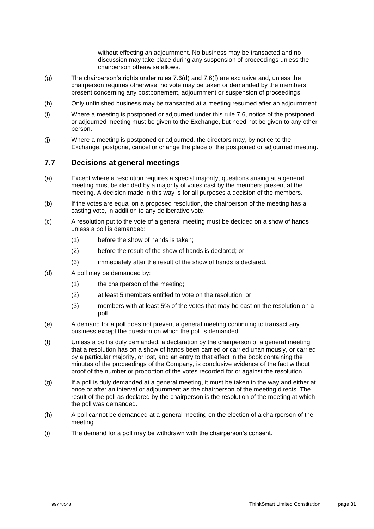without effecting an adjournment. No business may be transacted and no discussion may take place during any suspension of proceedings unless the chairperson otherwise allows.

- (g) The chairperson's rights under rules [7.6\(d\)](#page-33-3) and [7.6\(f\)](#page-33-4) are exclusive and, unless the chairperson requires otherwise, no vote may be taken or demanded by the members present concerning any postponement, adjournment or suspension of proceedings.
- (h) Only unfinished business may be transacted at a meeting resumed after an adjournment.
- (i) Where a meeting is postponed or adjourned under this rule [7.6,](#page-33-0) notice of the postponed or adjourned meeting must be given to the Exchange, but need not be given to any other person.
- (j) Where a meeting is postponed or adjourned, the directors may, by notice to the Exchange, postpone, cancel or change the place of the postponed or adjourned meeting.

#### **7.7 Decisions at general meetings**

- (a) Except where a resolution requires a special majority, questions arising at a general meeting must be decided by a majority of votes cast by the members present at the meeting. A decision made in this way is for all purposes a decision of the members.
- (b) If the votes are equal on a proposed resolution, the chairperson of the meeting has a casting vote, in addition to any deliberative vote.
- (c) A resolution put to the vote of a general meeting must be decided on a show of hands unless a poll is demanded:
	- (1) before the show of hands is taken;
	- (2) before the result of the show of hands is declared; or
	- (3) immediately after the result of the show of hands is declared.
- (d) A poll may be demanded by:
	- (1) the chairperson of the meeting;
	- (2) at least 5 members entitled to vote on the resolution; or
	- (3) members with at least 5% of the votes that may be cast on the resolution on a poll.
- (e) A demand for a poll does not prevent a general meeting continuing to transact any business except the question on which the poll is demanded.
- (f) Unless a poll is duly demanded, a declaration by the chairperson of a general meeting that a resolution has on a show of hands been carried or carried unanimously, or carried by a particular majority, or lost, and an entry to that effect in the book containing the minutes of the proceedings of the Company, is conclusive evidence of the fact without proof of the number or proportion of the votes recorded for or against the resolution.
- (g) If a poll is duly demanded at a general meeting, it must be taken in the way and either at once or after an interval or adjournment as the chairperson of the meeting directs. The result of the poll as declared by the chairperson is the resolution of the meeting at which the poll was demanded.
- (h) A poll cannot be demanded at a general meeting on the election of a chairperson of the meeting.
- (i) The demand for a poll may be withdrawn with the chairperson's consent.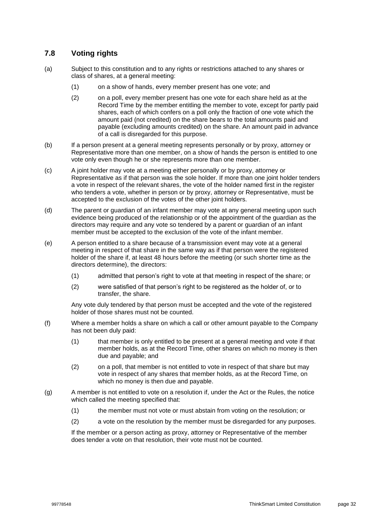### **7.8 Voting rights**

- (a) Subject to this constitution and to any rights or restrictions attached to any shares or class of shares, at a general meeting:
	- (1) on a show of hands, every member present has one vote; and
	- (2) on a poll, every member present has one vote for each share held as at the Record Time by the member entitling the member to vote, except for partly paid shares, each of which confers on a poll only the fraction of one vote which the amount paid (not credited) on the share bears to the total amounts paid and payable (excluding amounts credited) on the share. An amount paid in advance of a call is disregarded for this purpose.
- (b) If a person present at a general meeting represents personally or by proxy, attorney or Representative more than one member, on a show of hands the person is entitled to one vote only even though he or she represents more than one member.
- (c) A joint holder may vote at a meeting either personally or by proxy, attorney or Representative as if that person was the sole holder. If more than one joint holder tenders a vote in respect of the relevant shares, the vote of the holder named first in the register who tenders a vote, whether in person or by proxy, attorney or Representative, must be accepted to the exclusion of the votes of the other joint holders.
- (d) The parent or guardian of an infant member may vote at any general meeting upon such evidence being produced of the relationship or of the appointment of the guardian as the directors may require and any vote so tendered by a parent or guardian of an infant member must be accepted to the exclusion of the vote of the infant member.
- (e) A person entitled to a share because of a transmission event may vote at a general meeting in respect of that share in the same way as if that person were the registered holder of the share if, at least 48 hours before the meeting (or such shorter time as the directors determine), the directors:
	- (1) admitted that person's right to vote at that meeting in respect of the share; or
	- (2) were satisfied of that person's right to be registered as the holder of, or to transfer, the share.

Any vote duly tendered by that person must be accepted and the vote of the registered holder of those shares must not be counted.

- (f) Where a member holds a share on which a call or other amount payable to the Company has not been duly paid:
	- (1) that member is only entitled to be present at a general meeting and vote if that member holds, as at the Record Time, other shares on which no money is then due and payable; and
	- (2) on a poll, that member is not entitled to vote in respect of that share but may vote in respect of any shares that member holds, as at the Record Time, on which no money is then due and payable.
- (g) A member is not entitled to vote on a resolution if, under the Act or the Rules, the notice which called the meeting specified that:
	- (1) the member must not vote or must abstain from voting on the resolution; or
	- (2) a vote on the resolution by the member must be disregarded for any purposes.

If the member or a person acting as proxy, attorney or Representative of the member does tender a vote on that resolution, their vote must not be counted.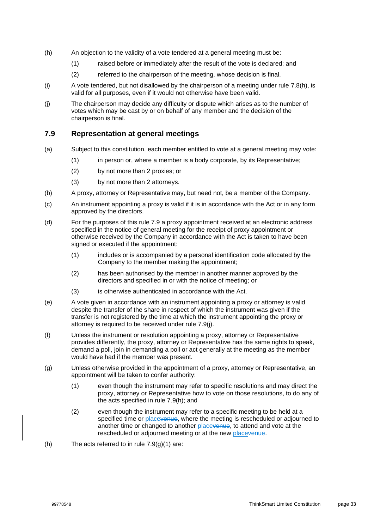- <span id="page-36-0"></span>(h) An objection to the validity of a vote tendered at a general meeting must be:
	- (1) raised before or immediately after the result of the vote is declared; and
	- (2) referred to the chairperson of the meeting, whose decision is final.
- (i) A vote tendered, but not disallowed by the chairperson of a meeting under rule [7.8\(h\),](#page-36-0) is valid for all purposes, even if it would not otherwise have been valid.
- (j) The chairperson may decide any difficulty or dispute which arises as to the number of votes which may be cast by or on behalf of any member and the decision of the chairperson is final.

### <span id="page-36-1"></span>**7.9 Representation at general meetings**

- (a) Subject to this constitution, each member entitled to vote at a general meeting may vote:
	- (1) in person or, where a member is a body corporate, by its Representative;
	- (2) by not more than 2 proxies; or
	- (3) by not more than 2 attorneys.
- (b) A proxy, attorney or Representative may, but need not, be a member of the Company.
- (c) An instrument appointing a proxy is valid if it is in accordance with the Act or in any form approved by the directors.
- (d) For the purposes of this rule [7.9](#page-36-1) a proxy appointment received at an electronic address specified in the notice of general meeting for the receipt of proxy appointment or otherwise received by the Company in accordance with the Act is taken to have been signed or executed if the appointment:
	- (1) includes or is accompanied by a personal identification code allocated by the Company to the member making the appointment;
	- (2) has been authorised by the member in another manner approved by the directors and specified in or with the notice of meeting; or
	- (3) is otherwise authenticated in accordance with the Act.
- (e) A vote given in accordance with an instrument appointing a proxy or attorney is valid despite the transfer of the share in respect of which the instrument was given if the transfer is not registered by the time at which the instrument appointing the proxy or attorney is required to be received under rule [7.9\(j\).](#page-37-0)
- (f) Unless the instrument or resolution appointing a proxy, attorney or Representative provides differently, the proxy, attorney or Representative has the same rights to speak, demand a poll, join in demanding a poll or act generally at the meeting as the member would have had if the member was present.
- <span id="page-36-3"></span>(g) Unless otherwise provided in the appointment of a proxy, attorney or Representative, an appointment will be taken to confer authority:
	- (1) even though the instrument may refer to specific resolutions and may direct the proxy, attorney or Representative how to vote on those resolutions, to do any of the acts specified in rule [7.9\(h\);](#page-36-2) and
	- (2) even though the instrument may refer to a specific meeting to be held at a specified time or placevenue, where the meeting is rescheduled or adjourned to another time or changed to another placevenue, to attend and vote at the rescheduled or adjourned meeting or at the new placevenue.
- <span id="page-36-2"></span>(h) The acts referred to in rule  $7.9(q)(1)$  are: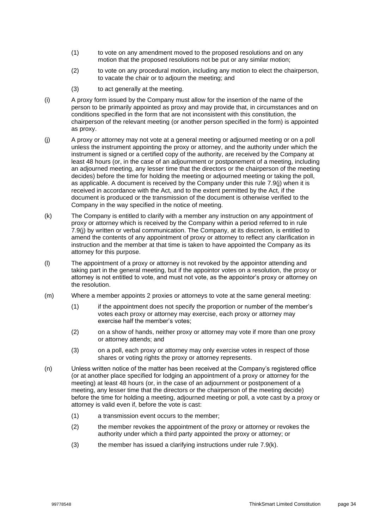- (1) to vote on any amendment moved to the proposed resolutions and on any motion that the proposed resolutions not be put or any similar motion;
- (2) to vote on any procedural motion, including any motion to elect the chairperson, to vacate the chair or to adjourn the meeting; and
- (3) to act generally at the meeting.
- (i) A proxy form issued by the Company must allow for the insertion of the name of the person to be primarily appointed as proxy and may provide that, in circumstances and on conditions specified in the form that are not inconsistent with this constitution, the chairperson of the relevant meeting (or another person specified in the form) is appointed as proxy.
- <span id="page-37-0"></span>(j) A proxy or attorney may not vote at a general meeting or adjourned meeting or on a poll unless the instrument appointing the proxy or attorney, and the authority under which the instrument is signed or a certified copy of the authority, are received by the Company at least 48 hours (or, in the case of an adjournment or postponement of a meeting, including an adjourned meeting, any lesser time that the directors or the chairperson of the meeting decides) before the time for holding the meeting or adjourned meeting or taking the poll, as applicable. A document is received by the Company under this rule [7.9\(j\)](#page-37-0) when it is received in accordance with the Act, and to the extent permitted by the Act, if the document is produced or the transmission of the document is otherwise verified to the Company in the way specified in the notice of meeting.
- <span id="page-37-1"></span>(k) The Company is entitled to clarify with a member any instruction on any appointment of proxy or attorney which is received by the Company within a period referred to in rule [7.9\(j\)](#page-37-0) by written or verbal communication. The Company, at its discretion, is entitled to amend the contents of any appointment of proxy or attorney to reflect any clarification in instruction and the member at that time is taken to have appointed the Company as its attorney for this purpose.
- (l) The appointment of a proxy or attorney is not revoked by the appointor attending and taking part in the general meeting, but if the appointor votes on a resolution, the proxy or attorney is not entitled to vote, and must not vote, as the appointor's proxy or attorney on the resolution.
- (m) Where a member appoints 2 proxies or attorneys to vote at the same general meeting:
	- (1) if the appointment does not specify the proportion or number of the member's votes each proxy or attorney may exercise, each proxy or attorney may exercise half the member's votes;
	- (2) on a show of hands, neither proxy or attorney may vote if more than one proxy or attorney attends; and
	- (3) on a poll, each proxy or attorney may only exercise votes in respect of those shares or voting rights the proxy or attorney represents.
- (n) Unless written notice of the matter has been received at the Company's registered office (or at another place specified for lodging an appointment of a proxy or attorney for the meeting) at least 48 hours (or, in the case of an adjournment or postponement of a meeting, any lesser time that the directors or the chairperson of the meeting decide) before the time for holding a meeting, adjourned meeting or poll, a vote cast by a proxy or attorney is valid even if, before the vote is cast:
	- (1) a transmission event occurs to the member;
	- (2) the member revokes the appointment of the proxy or attorney or revokes the authority under which a third party appointed the proxy or attorney; or
	- $(3)$  the member has issued a clarifying instructions under rule [7.9\(k\).](#page-37-1)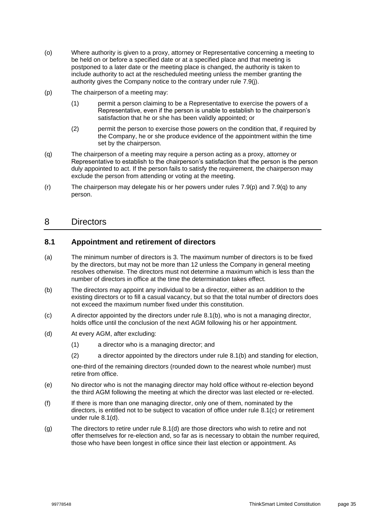- (o) Where authority is given to a proxy, attorney or Representative concerning a meeting to be held on or before a specified date or at a specified place and that meeting is postponed to a later date or the meeting place is changed, the authority is taken to include authority to act at the rescheduled meeting unless the member granting the authority gives the Company notice to the contrary under rule [7.9\(j\).](#page-37-0)
- <span id="page-38-2"></span>(p) The chairperson of a meeting may:
	- (1) permit a person claiming to be a Representative to exercise the powers of a Representative, even if the person is unable to establish to the chairperson's satisfaction that he or she has been validly appointed; or
	- (2) permit the person to exercise those powers on the condition that, if required by the Company, he or she produce evidence of the appointment within the time set by the chairperson.
- <span id="page-38-3"></span>(q) The chairperson of a meeting may require a person acting as a proxy, attorney or Representative to establish to the chairperson's satisfaction that the person is the person duly appointed to act. If the person fails to satisfy the requirement, the chairperson may exclude the person from attending or voting at the meeting.
- (r) The chairperson may delegate his or her powers under rules [7.9\(p\)](#page-38-2) and [7.9\(q\)](#page-38-3) to any person.

### 8 Directors

### **8.1 Appointment and retirement of directors**

- <span id="page-38-1"></span>(a) The minimum number of directors is 3. The maximum number of directors is to be fixed by the directors, but may not be more than 12 unless the Company in general meeting resolves otherwise. The directors must not determine a maximum which is less than the number of directors in office at the time the determination takes effect.
- <span id="page-38-0"></span>(b) The directors may appoint any individual to be a director, either as an addition to the existing directors or to fill a casual vacancy, but so that the total number of directors does not exceed the maximum number fixed under this constitution.
- <span id="page-38-4"></span>(c) A director appointed by the directors under rule [8.1\(b\),](#page-38-0) who is not a managing director, holds office until the conclusion of the next AGM following his or her appointment.
- <span id="page-38-5"></span>(d) At every AGM, after excluding:
	- (1) a director who is a managing director; and
	- (2) a director appointed by the directors under rule [8.1\(b\)](#page-38-0) and standing for election,

one-third of the remaining directors (rounded down to the nearest whole number) must retire from office.

- (e) No director who is not the managing director may hold office without re-election beyond the third AGM following the meeting at which the director was last elected or re-elected.
- (f) If there is more than one managing director, only one of them, nominated by the directors, is entitled not to be subject to vacation of office under rule [8.1\(c\)](#page-38-4) or retirement under rule [8.1\(d\).](#page-38-5)
- (g) The directors to retire under rule [8.1\(d\)](#page-38-5) are those directors who wish to retire and not offer themselves for re-election and, so far as is necessary to obtain the number required, those who have been longest in office since their last election or appointment. As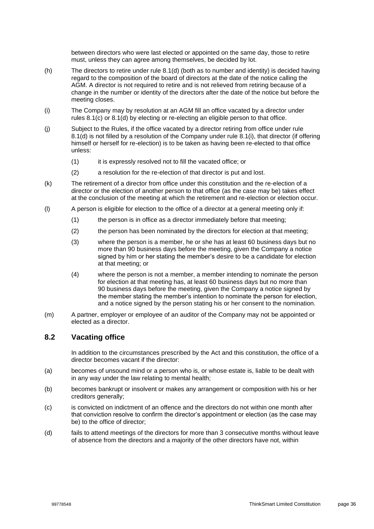between directors who were last elected or appointed on the same day, those to retire must, unless they can agree among themselves, be decided by lot.

- (h) The directors to retire under rule [8.1\(d\)](#page-38-5) (both as to number and identity) is decided having regard to the composition of the board of directors at the date of the notice calling the AGM. A director is not required to retire and is not relieved from retiring because of a change in the number or identity of the directors after the date of the notice but before the meeting closes.
- <span id="page-39-0"></span>(i) The Company may by resolution at an AGM fill an office vacated by a director under rules [8.1\(c\)](#page-38-4) or [8.1\(d\)](#page-38-5) by electing or re-electing an eligible person to that office.
- (j) Subject to the Rules, if the office vacated by a director retiring from office under rule [8.1\(d\)](#page-38-5) is not filled by a resolution of the Company under rule [8.1\(i\),](#page-39-0) that director (if offering himself or herself for re-election) is to be taken as having been re-elected to that office unless:
	- (1) it is expressly resolved not to fill the vacated office; or
	- (2) a resolution for the re-election of that director is put and lost.
- (k) The retirement of a director from office under this constitution and the re-election of a director or the election of another person to that office (as the case may be) takes effect at the conclusion of the meeting at which the retirement and re-election or election occur.
- (l) A person is eligible for election to the office of a director at a general meeting only if:
	- (1) the person is in office as a director immediately before that meeting;
	- (2) the person has been nominated by the directors for election at that meeting;
	- (3) where the person is a member, he or she has at least 60 business days but no more than 90 business days before the meeting, given the Company a notice signed by him or her stating the member's desire to be a candidate for election at that meeting; or
	- (4) where the person is not a member, a member intending to nominate the person for election at that meeting has, at least 60 business days but no more than 90 business days before the meeting, given the Company a notice signed by the member stating the member's intention to nominate the person for election, and a notice signed by the person stating his or her consent to the nomination.
- (m) A partner, employer or employee of an auditor of the Company may not be appointed or elected as a director.

### **8.2 Vacating office**

In addition to the circumstances prescribed by the Act and this constitution, the office of a director becomes vacant if the director:

- (a) becomes of unsound mind or a person who is, or whose estate is, liable to be dealt with in any way under the law relating to mental health;
- (b) becomes bankrupt or insolvent or makes any arrangement or composition with his or her creditors generally;
- (c) is convicted on indictment of an offence and the directors do not within one month after that conviction resolve to confirm the director's appointment or election (as the case may be) to the office of director;
- (d) fails to attend meetings of the directors for more than 3 consecutive months without leave of absence from the directors and a majority of the other directors have not, within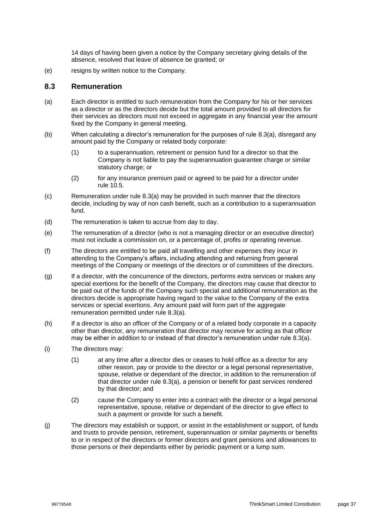14 days of having been given a notice by the Company secretary giving details of the absence, resolved that leave of absence be granted; or

(e) resigns by written notice to the Company.

### **8.3 Remuneration**

- <span id="page-40-0"></span>(a) Each director is entitled to such remuneration from the Company for his or her services as a director or as the directors decide but the total amount provided to all directors for their services as directors must not exceed in aggregate in any financial year the amount fixed by the Company in general meeting.
- (b) When calculating a director's remuneration for the purposes of rule [8.3\(a\),](#page-40-0) disregard any amount paid by the Company or related body corporate:
	- (1) to a superannuation, retirement or pension fund for a director so that the Company is not liable to pay the superannuation guarantee charge or similar statutory charge; or
	- (2) for any insurance premium paid or agreed to be paid for a director under rule [10.5.](#page-48-0)
- (c) Remuneration under rule [8.3\(a\)](#page-40-0) may be provided in such manner that the directors decide, including by way of non cash benefit, such as a contribution to a superannuation fund.
- (d) The remuneration is taken to accrue from day to day.
- (e) The remuneration of a director (who is not a managing director or an executive director) must not include a commission on, or a percentage of, profits or operating revenue.
- (f) The directors are entitled to be paid all travelling and other expenses they incur in attending to the Company's affairs, including attending and returning from general meetings of the Company or meetings of the directors or of committees of the directors.
- <span id="page-40-1"></span>(g) If a director, with the concurrence of the directors, performs extra services or makes any special exertions for the benefit of the Company, the directors may cause that director to be paid out of the funds of the Company such special and additional remuneration as the directors decide is appropriate having regard to the value to the Company of the extra services or special exertions. Any amount paid will form part of the aggregate remuneration permitted under rule [8.3\(a\).](#page-40-0)
- (h) If a director is also an officer of the Company or of a related body corporate in a capacity other than director, any remuneration that director may receive for acting as that officer may be either in addition to or instead of that director's remuneration under rule [8.3\(a\).](#page-40-0)
- (i) The directors may:
	- (1) at any time after a director dies or ceases to hold office as a director for any other reason, pay or provide to the director or a legal personal representative, spouse, relative or dependant of the director, in addition to the remuneration of that director under rule [8.3\(a\),](#page-40-0) a pension or benefit for past services rendered by that director; and
	- (2) cause the Company to enter into a contract with the director or a legal personal representative, spouse, relative or dependant of the director to give effect to such a payment or provide for such a benefit.
- (j) The directors may establish or support, or assist in the establishment or support, of funds and trusts to provide pension, retirement, superannuation or similar payments or benefits to or in respect of the directors or former directors and grant pensions and allowances to those persons or their dependants either by periodic payment or a lump sum.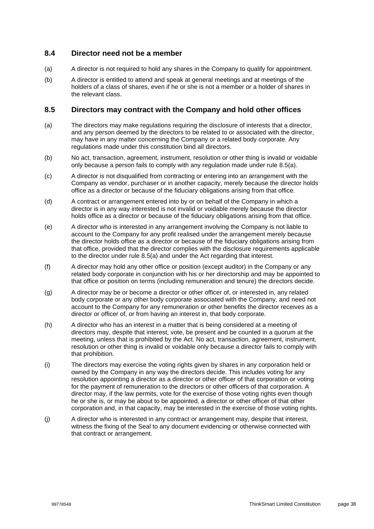### **8.4 Director need not be a member**

- (a) A director is not required to hold any shares in the Company to qualify for appointment.
- (b) A director is entitled to attend and speak at general meetings and at meetings of the holders of a class of shares, even if he or she is not a member or a holder of shares in the relevant class.

### **8.5 Directors may contract with the Company and hold other offices**

- <span id="page-41-0"></span>(a) The directors may make regulations requiring the disclosure of interests that a director, and any person deemed by the directors to be related to or associated with the director, may have in any matter concerning the Company or a related body corporate. Any regulations made under this constitution bind all directors.
- (b) No act, transaction, agreement, instrument, resolution or other thing is invalid or voidable only because a person fails to comply with any regulation made under rule [8.5\(a\).](#page-41-0)
- (c) A director is not disqualified from contracting or entering into an arrangement with the Company as vendor, purchaser or in another capacity, merely because the director holds office as a director or because of the fiduciary obligations arising from that office.
- (d) A contract or arrangement entered into by or on behalf of the Company in which a director is in any way interested is not invalid or voidable merely because the director holds office as a director or because of the fiduciary obligations arising from that office.
- (e) A director who is interested in any arrangement involving the Company is not liable to account to the Company for any profit realised under the arrangement merely because the director holds office as a director or because of the fiduciary obligations arising from that office, provided that the director complies with the disclosure requirements applicable to the director under rule [8.5\(a\)](#page-41-0) and under the Act regarding that interest.
- (f) A director may hold any other office or position (except auditor) in the Company or any related body corporate in conjunction with his or her directorship and may be appointed to that office or position on terms (including remuneration and tenure) the directors decide.
- (g) A director may be or become a director or other officer of, or interested in, any related body corporate or any other body corporate associated with the Company, and need not account to the Company for any remuneration or other benefits the director receives as a director or officer of, or from having an interest in, that body corporate.
- (h) A director who has an interest in a matter that is being considered at a meeting of directors may, despite that interest, vote, be present and be counted in a quorum at the meeting, unless that is prohibited by the Act. No act, transaction, agreement, instrument, resolution or other thing is invalid or voidable only because a director fails to comply with that prohibition.
- (i) The directors may exercise the voting rights given by shares in any corporation held or owned by the Company in any way the directors decide. This includes voting for any resolution appointing a director as a director or other officer of that corporation or voting for the payment of remuneration to the directors or other officers of that corporation. A director may, if the law permits, vote for the exercise of those voting rights even though he or she is, or may be about to be appointed, a director or other officer of that other corporation and, in that capacity, may be interested in the exercise of those voting rights.
- (j) A director who is interested in any contract or arrangement may, despite that interest, witness the fixing of the Seal to any document evidencing or otherwise connected with that contract or arrangement.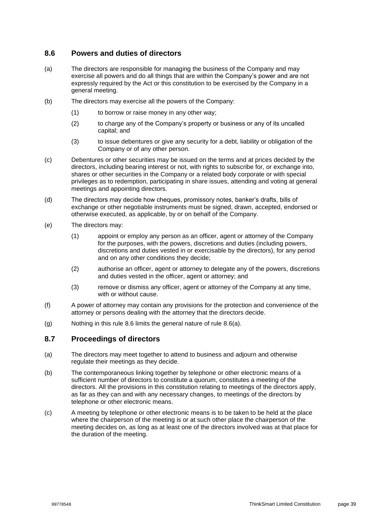### <span id="page-42-0"></span>**8.6 Powers and duties of directors**

- <span id="page-42-1"></span>(a) The directors are responsible for managing the business of the Company and may exercise all powers and do all things that are within the Company's power and are not expressly required by the Act or this constitution to be exercised by the Company in a general meeting.
- (b) The directors may exercise all the powers of the Company:
	- (1) to borrow or raise money in any other way;
	- (2) to charge any of the Company's property or business or any of its uncalled capital; and
	- (3) to issue debentures or give any security for a debt, liability or obligation of the Company or of any other person.
- (c) Debentures or other securities may be issued on the terms and at prices decided by the directors, including bearing interest or not, with rights to subscribe for, or exchange into, shares or other securities in the Company or a related body corporate or with special privileges as to redemption, participating in share issues, attending and voting at general meetings and appointing directors.
- (d) The directors may decide how cheques, promissory notes, banker's drafts, bills of exchange or other negotiable instruments must be signed, drawn, accepted, endorsed or otherwise executed, as applicable, by or on behalf of the Company.
- (e) The directors may:
	- (1) appoint or employ any person as an officer, agent or attorney of the Company for the purposes, with the powers, discretions and duties (including powers, discretions and duties vested in or exercisable by the directors), for any period and on any other conditions they decide;
	- (2) authorise an officer, agent or attorney to delegate any of the powers, discretions and duties vested in the officer, agent or attorney; and
	- (3) remove or dismiss any officer, agent or attorney of the Company at any time, with or without cause.
- (f) A power of attorney may contain any provisions for the protection and convenience of the attorney or persons dealing with the attorney that the directors decide.
- (g) Nothing in this rule [8.6](#page-42-0) limits the general nature of rule [8.6\(a\).](#page-42-1)

### **8.7 Proceedings of directors**

- (a) The directors may meet together to attend to business and adjourn and otherwise regulate their meetings as they decide.
- (b) The contemporaneous linking together by telephone or other electronic means of a sufficient number of directors to constitute a quorum, constitutes a meeting of the directors. All the provisions in this constitution relating to meetings of the directors apply, as far as they can and with any necessary changes, to meetings of the directors by telephone or other electronic means.
- (c) A meeting by telephone or other electronic means is to be taken to be held at the place where the chairperson of the meeting is or at such other place the chairperson of the meeting decides on, as long as at least one of the directors involved was at that place for the duration of the meeting.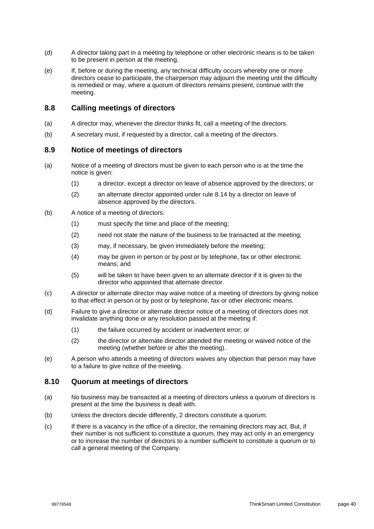- (d) A director taking part in a meeting by telephone or other electronic means is to be taken to be present in person at the meeting.
- (e) If, before or during the meeting, any technical difficulty occurs whereby one or more directors cease to participate, the chairperson may adjourn the meeting until the difficulty is remedied or may, where a quorum of directors remains present, continue with the meeting.

### **8.8 Calling meetings of directors**

- (a) A director may, whenever the director thinks fit, call a meeting of the directors.
- (b) A secretary must, if requested by a director, call a meeting of the directors.

### **8.9 Notice of meetings of directors**

- (a) Notice of a meeting of directors must be given to each person who is at the time the notice is given:
	- (1) a director, except a director on leave of absence approved by the directors; or
	- (2) an alternate director appointed under rule [8.14](#page-45-0) by a director on leave of absence approved by the directors.
- (b) A notice of a meeting of directors:
	- (1) must specify the time and place of the meeting;
	- (2) need not state the nature of the business to be transacted at the meeting;
	- (3) may, if necessary, be given immediately before the meeting;
	- (4) may be given in person or by post or by telephone, fax or other electronic means; and
	- (5) will be taken to have been given to an alternate director if it is given to the director who appointed that alternate director.
- (c) A director or alternate director may waive notice of a meeting of directors by giving notice to that effect in person or by post or by telephone, fax or other electronic means.
- (d) Failure to give a director or alternate director notice of a meeting of directors does not invalidate anything done or any resolution passed at the meeting if:
	- (1) the failure occurred by accident or inadvertent error; or
	- (2) the director or alternate director attended the meeting or waived notice of the meeting (whether before or after the meeting).
- (e) A person who attends a meeting of directors waives any objection that person may have to a failure to give notice of the meeting.

### **8.10 Quorum at meetings of directors**

- (a) No business may be transacted at a meeting of directors unless a quorum of directors is present at the time the business is dealt with.
- (b) Unless the directors decide differently, 2 directors constitute a quorum.
- (c) If there is a vacancy in the office of a director, the remaining directors may act. But, if their number is not sufficient to constitute a quorum, they may act only in an emergency or to increase the number of directors to a number sufficient to constitute a quorum or to call a general meeting of the Company.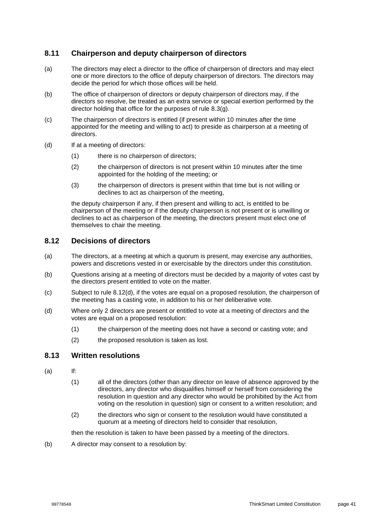### **8.11 Chairperson and deputy chairperson of directors**

- (a) The directors may elect a director to the office of chairperson of directors and may elect one or more directors to the office of deputy chairperson of directors. The directors may decide the period for which those offices will be held.
- (b) The office of chairperson of directors or deputy chairperson of directors may, if the directors so resolve, be treated as an extra service or special exertion performed by the director holding that office for the purposes of rule [8.3\(g\).](#page-40-1)
- (c) The chairperson of directors is entitled (if present within 10 minutes after the time appointed for the meeting and willing to act) to preside as chairperson at a meeting of directors.
- (d) If at a meeting of directors:
	- (1) there is no chairperson of directors;
	- (2) the chairperson of directors is not present within 10 minutes after the time appointed for the holding of the meeting; or
	- (3) the chairperson of directors is present within that time but is not willing or declines to act as chairperson of the meeting,

the deputy chairperson if any, if then present and willing to act, is entitled to be chairperson of the meeting or if the deputy chairperson is not present or is unwilling or declines to act as chairperson of the meeting, the directors present must elect one of themselves to chair the meeting.

### **8.12 Decisions of directors**

- (a) The directors, at a meeting at which a quorum is present, may exercise any authorities, powers and discretions vested in or exercisable by the directors under this constitution.
- (b) Questions arising at a meeting of directors must be decided by a majority of votes cast by the directors present entitled to vote on the matter.
- (c) Subject to rule [8.12\(d\),](#page-44-0) if the votes are equal on a proposed resolution, the chairperson of the meeting has a casting vote, in addition to his or her deliberative vote.
- <span id="page-44-0"></span>(d) Where only 2 directors are present or entitled to vote at a meeting of directors and the votes are equal on a proposed resolution:
	- (1) the chairperson of the meeting does not have a second or casting vote; and
	- (2) the proposed resolution is taken as lost.

### **8.13 Written resolutions**

- (a) If:
	- (1) all of the directors (other than any director on leave of absence approved by the directors, any director who disqualifies himself or herself from considering the resolution in question and any director who would be prohibited by the Act from voting on the resolution in question) sign or consent to a written resolution; and
	- (2) the directors who sign or consent to the resolution would have constituted a quorum at a meeting of directors held to consider that resolution,

then the resolution is taken to have been passed by a meeting of the directors.

(b) A director may consent to a resolution by: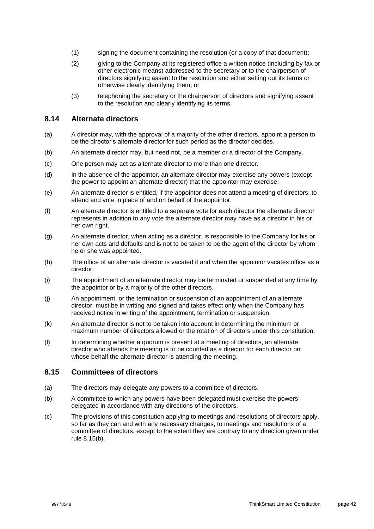- (1) signing the document containing the resolution (or a copy of that document);
- (2) giving to the Company at its registered office a written notice (including by fax or other electronic means) addressed to the secretary or to the chairperson of directors signifying assent to the resolution and either setting out its terms or otherwise clearly identifying them; or
- (3) telephoning the secretary or the chairperson of directors and signifying assent to the resolution and clearly identifying its terms.

### <span id="page-45-0"></span>**8.14 Alternate directors**

- (a) A director may, with the approval of a majority of the other directors, appoint a person to be the director's alternate director for such period as the director decides.
- (b) An alternate director may, but need not, be a member or a director of the Company.
- (c) One person may act as alternate director to more than one director.
- (d) In the absence of the appointor, an alternate director may exercise any powers (except the power to appoint an alternate director) that the appointor may exercise.
- (e) An alternate director is entitled, if the appointor does not attend a meeting of directors, to attend and vote in place of and on behalf of the appointor.
- (f) An alternate director is entitled to a separate vote for each director the alternate director represents in addition to any vote the alternate director may have as a director in his or her own right.
- (g) An alternate director, when acting as a director, is responsible to the Company for his or her own acts and defaults and is not to be taken to be the agent of the director by whom he or she was appointed.
- (h) The office of an alternate director is vacated if and when the appointor vacates office as a director.
- (i) The appointment of an alternate director may be terminated or suspended at any time by the appointor or by a majority of the other directors.
- (j) An appointment, or the termination or suspension of an appointment of an alternate director, must be in writing and signed and takes effect only when the Company has received notice in writing of the appointment, termination or suspension.
- (k) An alternate director is not to be taken into account in determining the minimum or maximum number of directors allowed or the rotation of directors under this constitution.
- (l) In determining whether a quorum is present at a meeting of directors, an alternate director who attends the meeting is to be counted as a director for each director on whose behalf the alternate director is attending the meeting.

### **8.15 Committees of directors**

- (a) The directors may delegate any powers to a committee of directors.
- <span id="page-45-1"></span>(b) A committee to which any powers have been delegated must exercise the powers delegated in accordance with any directions of the directors.
- (c) The provisions of this constitution applying to meetings and resolutions of directors apply, so far as they can and with any necessary changes, to meetings and resolutions of a committee of directors, except to the extent they are contrary to any direction given under rule [8.15\(b\).](#page-45-1)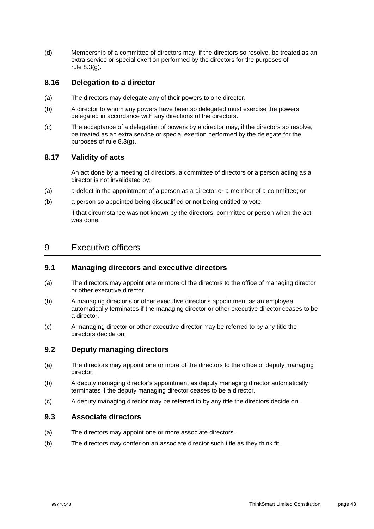(d) Membership of a committee of directors may, if the directors so resolve, be treated as an extra service or special exertion performed by the directors for the purposes of rule [8.3\(g\).](#page-40-1)

### **8.16 Delegation to a director**

- (a) The directors may delegate any of their powers to one director.
- (b) A director to whom any powers have been so delegated must exercise the powers delegated in accordance with any directions of the directors.
- (c) The acceptance of a delegation of powers by a director may, if the directors so resolve, be treated as an extra service or special exertion performed by the delegate for the purposes of rule [8.3\(g\).](#page-40-1)

### **8.17 Validity of acts**

An act done by a meeting of directors, a committee of directors or a person acting as a director is not invalidated by:

- (a) a defect in the appointment of a person as a director or a member of a committee; or
- (b) a person so appointed being disqualified or not being entitled to vote,

if that circumstance was not known by the directors, committee or person when the act was done.

### <span id="page-46-0"></span>9 Executive officers

### **9.1 Managing directors and executive directors**

- (a) The directors may appoint one or more of the directors to the office of managing director or other executive director.
- (b) A managing director's or other executive director's appointment as an employee automatically terminates if the managing director or other executive director ceases to be a director.
- (c) A managing director or other executive director may be referred to by any title the directors decide on.

### **9.2 Deputy managing directors**

- (a) The directors may appoint one or more of the directors to the office of deputy managing director.
- (b) A deputy managing director's appointment as deputy managing director automatically terminates if the deputy managing director ceases to be a director.
- (c) A deputy managing director may be referred to by any title the directors decide on.

### **9.3 Associate directors**

- (a) The directors may appoint one or more associate directors.
- (b) The directors may confer on an associate director such title as they think fit.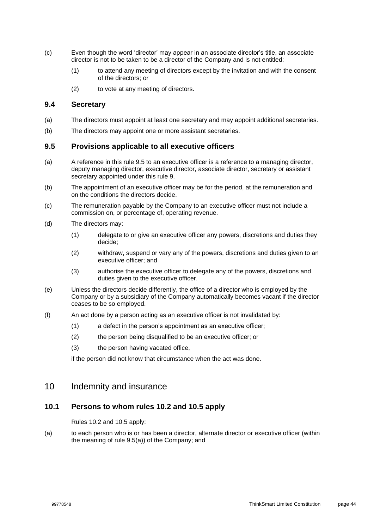- (c) Even though the word 'director' may appear in an associate director's title, an associate director is not to be taken to be a director of the Company and is not entitled:
	- (1) to attend any meeting of directors except by the invitation and with the consent of the directors; or
	- (2) to vote at any meeting of directors.

### **9.4 Secretary**

- (a) The directors must appoint at least one secretary and may appoint additional secretaries.
- (b) The directors may appoint one or more assistant secretaries.

### <span id="page-47-0"></span>**9.5 Provisions applicable to all executive officers**

- <span id="page-47-1"></span>(a) A reference in this rule [9.5](#page-47-0) to an executive officer is a reference to a managing director, deputy managing director, executive director, associate director, secretary or assistant secretary appointed under this rule [9.](#page-46-0)
- (b) The appointment of an executive officer may be for the period, at the remuneration and on the conditions the directors decide.
- (c) The remuneration payable by the Company to an executive officer must not include a commission on, or percentage of, operating revenue.
- (d) The directors may:
	- (1) delegate to or give an executive officer any powers, discretions and duties they decide;
	- (2) withdraw, suspend or vary any of the powers, discretions and duties given to an executive officer; and
	- (3) authorise the executive officer to delegate any of the powers, discretions and duties given to the executive officer.
- (e) Unless the directors decide differently, the office of a director who is employed by the Company or by a subsidiary of the Company automatically becomes vacant if the director ceases to be so employed.
- (f) An act done by a person acting as an executive officer is not invalidated by:
	- (1) a defect in the person's appointment as an executive officer;
	- (2) the person being disqualified to be an executive officer; or
	- (3) the person having vacated office,

if the person did not know that circumstance when the act was done.

### <span id="page-47-2"></span>10 Indemnity and insurance

### **10.1 Persons to whom rules [10.2](#page-48-1) and [10.5](#page-48-0) apply**

Rules [10.2](#page-48-1) and [10.5](#page-48-0) apply:

(a) to each person who is or has been a director, alternate director or executive officer (within the meaning of rule [9.5\(a\)\)](#page-47-1) of the Company; and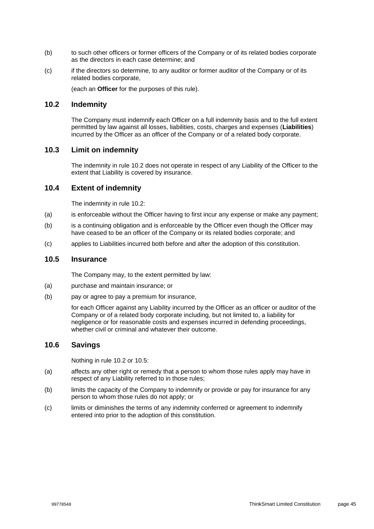- (b) to such other officers or former officers of the Company or of its related bodies corporate as the directors in each case determine; and
- (c) if the directors so determine, to any auditor or former auditor of the Company or of its related bodies corporate,

(each an **Officer** for the purposes of this rule).

### <span id="page-48-1"></span>**10.2 Indemnity**

The Company must indemnify each Officer on a full indemnity basis and to the full extent permitted by law against all losses, liabilities, costs, charges and expenses (**Liabilities**) incurred by the Officer as an officer of the Company or of a related body corporate.

### **10.3 Limit on indemnity**

The indemnity in rule [10.2](#page-48-1) does not operate in respect of any Liability of the Officer to the extent that Liability is covered by insurance.

### **10.4 Extent of indemnity**

The indemnity in rule [10.2:](#page-48-1)

- (a) is enforceable without the Officer having to first incur any expense or make any payment;
- (b) is a continuing obligation and is enforceable by the Officer even though the Officer may have ceased to be an officer of the Company or its related bodies corporate; and
- (c) applies to Liabilities incurred both before and after the adoption of this constitution.

#### <span id="page-48-0"></span>**10.5 Insurance**

The Company may, to the extent permitted by law:

- (a) purchase and maintain insurance; or
- (b) pay or agree to pay a premium for insurance,

for each Officer against any Liability incurred by the Officer as an officer or auditor of the Company or of a related body corporate including, but not limited to, a liability for negligence or for reasonable costs and expenses incurred in defending proceedings, whether civil or criminal and whatever their outcome.

### **10.6 Savings**

Nothing in rule [10.2](#page-48-1) or [10.5:](#page-48-0)

- (a) affects any other right or remedy that a person to whom those rules apply may have in respect of any Liability referred to in those rules;
- (b) limits the capacity of the Company to indemnify or provide or pay for insurance for any person to whom those rules do not apply; or
- (c) limits or diminishes the terms of any indemnity conferred or agreement to indemnify entered into prior to the adoption of this constitution.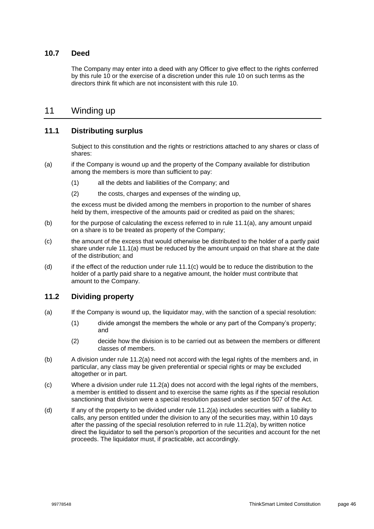### **10.7 Deed**

The Company may enter into a deed with any Officer to give effect to the rights conferred by this rule [10](#page-47-2) or the exercise of a discretion under this rule [10](#page-47-2) on such terms as the directors think fit which are not inconsistent with this rule [10.](#page-47-2)

### 11 Winding up

### **11.1 Distributing surplus**

Subject to this constitution and the rights or restrictions attached to any shares or class of shares:

- <span id="page-49-0"></span>(a) if the Company is wound up and the property of the Company available for distribution among the members is more than sufficient to pay:
	- (1) all the debts and liabilities of the Company; and
	- (2) the costs, charges and expenses of the winding up,

the excess must be divided among the members in proportion to the number of shares held by them, irrespective of the amounts paid or credited as paid on the shares;

- (b) for the purpose of calculating the excess referred to in rule  $11.1(a)$ , any amount unpaid on a share is to be treated as property of the Company;
- <span id="page-49-1"></span>(c) the amount of the excess that would otherwise be distributed to the holder of a partly paid share under rule [11.1\(a\)](#page-49-0) must be reduced by the amount unpaid on that share at the date of the distribution; and
- (d) if the effect of the reduction under rule [11.1\(c\)](#page-49-1) would be to reduce the distribution to the holder of a partly paid share to a negative amount, the holder must contribute that amount to the Company.

#### <span id="page-49-3"></span>**11.2 Dividing property**

- <span id="page-49-2"></span>(a) If the Company is wound up, the liquidator may, with the sanction of a special resolution:
	- (1) divide amongst the members the whole or any part of the Company's property; and
	- (2) decide how the division is to be carried out as between the members or different classes of members.
- (b) A division under rule [11.2\(a\)](#page-49-2) need not accord with the legal rights of the members and, in particular, any class may be given preferential or special rights or may be excluded altogether or in part.
- (c) Where a division under rule [11.2\(a\)](#page-49-2) does not accord with the legal rights of the members, a member is entitled to dissent and to exercise the same rights as if the special resolution sanctioning that division were a special resolution passed under section 507 of the Act.
- (d) If any of the property to be divided under rule [11.2\(a\)](#page-49-2) includes securities with a liability to calls, any person entitled under the division to any of the securities may, within 10 days after the passing of the special resolution referred to in rule [11.2\(a\),](#page-49-2) by written notice direct the liquidator to sell the person's proportion of the securities and account for the net proceeds. The liquidator must, if practicable, act accordingly.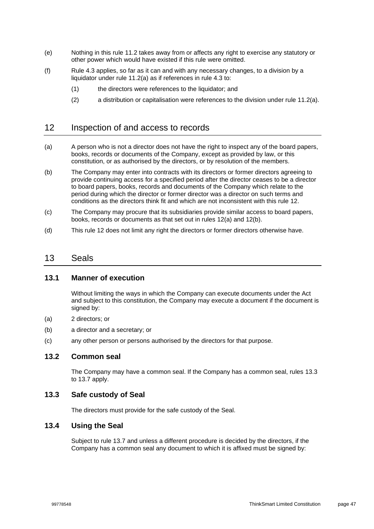- (e) Nothing in this rule [11.2](#page-49-3) takes away from or affects any right to exercise any statutory or other power which would have existed if this rule were omitted.
- (f) Rule [4.3](#page-22-1) applies, so far as it can and with any necessary changes, to a division by a liquidator under rule [11.2\(a\)](#page-49-2) as if references in rule [4.3](#page-22-1) to:
	- (1) the directors were references to the liquidator; and
	- (2) a distribution or capitalisation were references to the division under rule [11.2\(a\).](#page-49-2)

### <span id="page-50-0"></span>12 Inspection of and access to records

- <span id="page-50-1"></span>(a) A person who is not a director does not have the right to inspect any of the board papers, books, records or documents of the Company, except as provided by law, or this constitution, or as authorised by the directors, or by resolution of the members.
- <span id="page-50-2"></span>(b) The Company may enter into contracts with its directors or former directors agreeing to provide continuing access for a specified period after the director ceases to be a director to board papers, books, records and documents of the Company which relate to the period during which the director or former director was a director on such terms and conditions as the directors think fit and which are not inconsistent with this rule [12.](#page-50-0)
- (c) The Company may procure that its subsidiaries provide similar access to board papers, books, records or documents as that set out in rules [12\(a\)](#page-50-1) and [12\(b\).](#page-50-2)
- (d) This rule [12](#page-50-0) does not limit any right the directors or former directors otherwise have.

### 13 Seals

#### **13.1 Manner of execution**

Without limiting the ways in which the Company can execute documents under the Act and subject to this constitution, the Company may execute a document if the document is signed by:

- (a) 2 directors; or
- (b) a director and a secretary; or
- (c) any other person or persons authorised by the directors for that purpose.

### **13.2 Common seal**

The Company may have a common seal. If the Company has a common seal, rules [13.3](#page-50-3) to [13.7](#page-51-0) apply.

### <span id="page-50-3"></span>**13.3 Safe custody of Seal**

The directors must provide for the safe custody of the Seal.

### **13.4 Using the Seal**

Subject to rule [13.7](#page-51-0) and unless a different procedure is decided by the directors, if the Company has a common seal any document to which it is affixed must be signed by: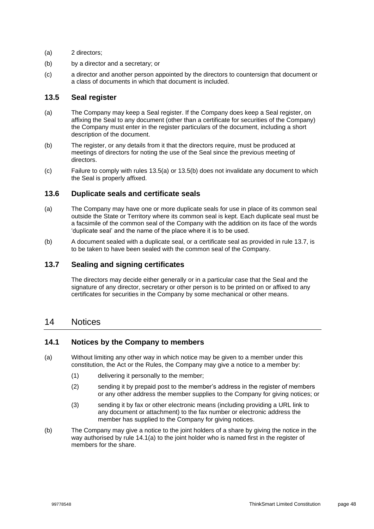- (a) 2 directors;
- (b) by a director and a secretary; or
- (c) a director and another person appointed by the directors to countersign that document or a class of documents in which that document is included.

### **13.5 Seal register**

- <span id="page-51-1"></span>(a) The Company may keep a Seal register. If the Company does keep a Seal register, on affixing the Seal to any document (other than a certificate for securities of the Company) the Company must enter in the register particulars of the document, including a short description of the document.
- <span id="page-51-2"></span>(b) The register, or any details from it that the directors require, must be produced at meetings of directors for noting the use of the Seal since the previous meeting of directors.
- (c) Failure to comply with rules [13.5\(a\)](#page-51-1) or [13.5\(b\)](#page-51-2) does not invalidate any document to which the Seal is properly affixed.

### **13.6 Duplicate seals and certificate seals**

- (a) The Company may have one or more duplicate seals for use in place of its common seal outside the State or Territory where its common seal is kept. Each duplicate seal must be a facsimile of the common seal of the Company with the addition on its face of the words 'duplicate seal' and the name of the place where it is to be used.
- (b) A document sealed with a duplicate seal, or a certificate seal as provided in rule [13.7,](#page-51-0) is to be taken to have been sealed with the common seal of the Company.

### <span id="page-51-0"></span>**13.7 Sealing and signing certificates**

The directors may decide either generally or in a particular case that the Seal and the signature of any director, secretary or other person is to be printed on or affixed to any certificates for securities in the Company by some mechanical or other means.

### 14 Notices

#### **14.1 Notices by the Company to members**

- <span id="page-51-3"></span>(a) Without limiting any other way in which notice may be given to a member under this constitution, the Act or the Rules, the Company may give a notice to a member by:
	- (1) delivering it personally to the member;
	- (2) sending it by prepaid post to the member's address in the register of members or any other address the member supplies to the Company for giving notices; or
	- (3) sending it by fax or other electronic means (including providing a URL link to any document or attachment) to the fax number or electronic address the member has supplied to the Company for giving notices.
- (b) The Company may give a notice to the joint holders of a share by giving the notice in the way authorised by rule [14.1\(a\)](#page-51-3) to the joint holder who is named first in the register of members for the share.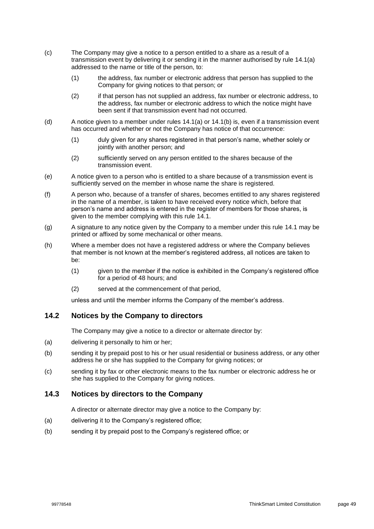- (c) The Company may give a notice to a person entitled to a share as a result of a transmission event by delivering it or sending it in the manner authorised by rule 14.1(a) addressed to the name or title of the person, to:
	- (1) the address, fax number or electronic address that person has supplied to the Company for giving notices to that person; or
	- (2) if that person has not supplied an address, fax number or electronic address, to the address, fax number or electronic address to which the notice might have been sent if that transmission event had not occurred.
- (d) A notice given to a member under rules 14.1(a) or 14.1(b) is, even if a transmission event has occurred and whether or not the Company has notice of that occurrence:
	- (1) duly given for any shares registered in that person's name, whether solely or jointly with another person; and
	- (2) sufficiently served on any person entitled to the shares because of the transmission event.
- (e) A notice given to a person who is entitled to a share because of a transmission event is sufficiently served on the member in whose name the share is registered.
- (f) A person who, because of a transfer of shares, becomes entitled to any shares registered in the name of a member, is taken to have received every notice which, before that person's name and address is entered in the register of members for those shares, is given to the member complying with this rule 14.1.
- (g) A signature to any notice given by the Company to a member under this rule 14.1 may be printed or affixed by some mechanical or other means.
- (h) Where a member does not have a registered address or where the Company believes that member is not known at the member's registered address, all notices are taken to be:
	- (1) given to the member if the notice is exhibited in the Company's registered office for a period of 48 hours; and
	- (2) served at the commencement of that period,

unless and until the member informs the Company of the member's address.

### **14.2 Notices by the Company to directors**

The Company may give a notice to a director or alternate director by:

- (a) delivering it personally to him or her;
- (b) sending it by prepaid post to his or her usual residential or business address, or any other address he or she has supplied to the Company for giving notices; or
- (c) sending it by fax or other electronic means to the fax number or electronic address he or she has supplied to the Company for giving notices.

### **14.3 Notices by directors to the Company**

A director or alternate director may give a notice to the Company by:

- (a) delivering it to the Company's registered office;
- (b) sending it by prepaid post to the Company's registered office; or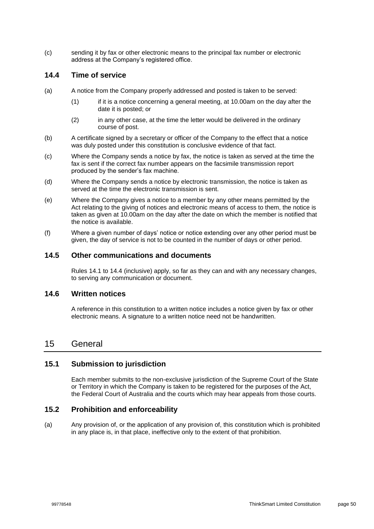(c) sending it by fax or other electronic means to the principal fax number or electronic address at the Company's registered office.

### **14.4 Time of service**

- (a) A notice from the Company properly addressed and posted is taken to be served:
	- (1) if it is a notice concerning a general meeting, at 10.00am on the day after the date it is posted; or
	- (2) in any other case, at the time the letter would be delivered in the ordinary course of post.
- (b) A certificate signed by a secretary or officer of the Company to the effect that a notice was duly posted under this constitution is conclusive evidence of that fact.
- (c) Where the Company sends a notice by fax, the notice is taken as served at the time the fax is sent if the correct fax number appears on the facsimile transmission report produced by the sender's fax machine.
- (d) Where the Company sends a notice by electronic transmission, the notice is taken as served at the time the electronic transmission is sent.
- (e) Where the Company gives a notice to a member by any other means permitted by the Act relating to the giving of notices and electronic means of access to them, the notice is taken as given at 10.00am on the day after the date on which the member is notified that the notice is available.
- (f) Where a given number of days' notice or notice extending over any other period must be given, the day of service is not to be counted in the number of days or other period.

### **14.5 Other communications and documents**

Rules 14.1 to 14.4 (inclusive) apply, so far as they can and with any necessary changes, to serving any communication or document.

#### **14.6 Written notices**

A reference in this constitution to a written notice includes a notice given by fax or other electronic means. A signature to a written notice need not be handwritten.

### 15 General

### **15.1 Submission to jurisdiction**

Each member submits to the non-exclusive jurisdiction of the Supreme Court of the State or Territory in which the Company is taken to be registered for the purposes of the Act, the Federal Court of Australia and the courts which may hear appeals from those courts.

### **15.2 Prohibition and enforceability**

(a) Any provision of, or the application of any provision of, this constitution which is prohibited in any place is, in that place, ineffective only to the extent of that prohibition.